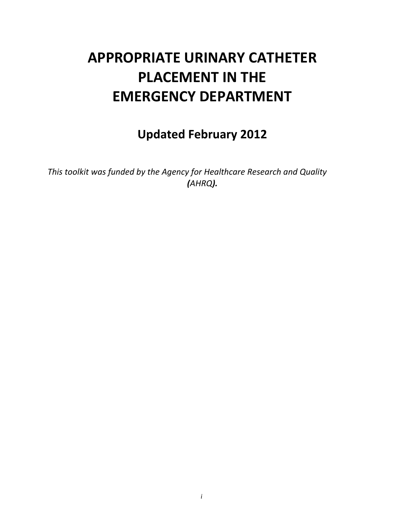# **APPROPRIATE URINARY CATHETER PLACEMENT IN THE EMERGENCY DEPARTMENT**

# **Updated February 2012**

*This toolkit was funded by the Agency for Healthcare Research and Quality (AHRQ).*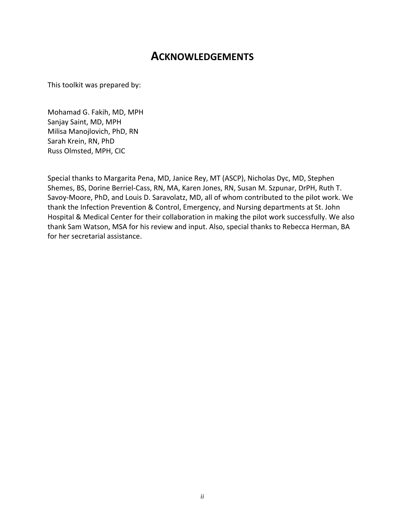# **ACKNOWLEDGEMENTS**

This toolkit was prepared by:

Mohamad G. Fakih, MD, MPH Sanjay Saint, MD, MPH Milisa Manojlovich, PhD, RN Sarah Krein, RN, PhD Russ Olmsted, MPH, CIC

Special thanks to Margarita Pena, MD, Janice Rey, MT (ASCP), Nicholas Dyc, MD, Stephen Shemes, BS, Dorine Berriel‐Cass, RN, MA, Karen Jones, RN, Susan M. Szpunar, DrPH, Ruth T. Savoy‐Moore, PhD, and Louis D. Saravolatz, MD, all of whom contributed to the pilot work. We thank the Infection Prevention & Control, Emergency, and Nursing departments at St. John Hospital & Medical Center for their collaboration in making the pilot work successfully. We also thank Sam Watson, MSA for his review and input. Also, special thanks to Rebecca Herman, BA for her secretarial assistance.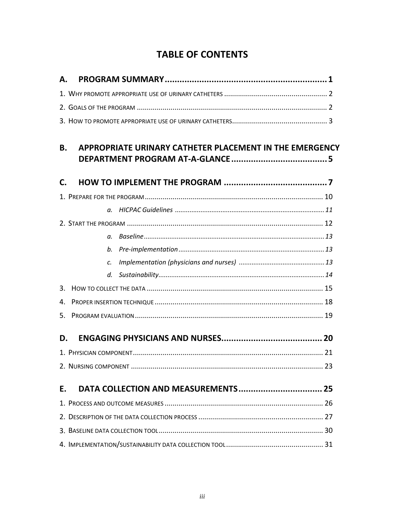# **TABLE OF CONTENTS**

| Α.           |                                                         |  |  |
|--------------|---------------------------------------------------------|--|--|
|              |                                                         |  |  |
|              |                                                         |  |  |
|              |                                                         |  |  |
|              |                                                         |  |  |
| <b>B.</b>    | APPROPRIATE URINARY CATHETER PLACEMENT IN THE EMERGENCY |  |  |
|              |                                                         |  |  |
| $\mathsf{C}$ |                                                         |  |  |
|              |                                                         |  |  |
|              |                                                         |  |  |
|              |                                                         |  |  |
|              |                                                         |  |  |
|              | b.                                                      |  |  |
|              | $\mathcal{C}$ .                                         |  |  |
|              | d.                                                      |  |  |
| 3.           |                                                         |  |  |
| 4.           |                                                         |  |  |
| 5.           |                                                         |  |  |
| D.           |                                                         |  |  |
|              |                                                         |  |  |
|              |                                                         |  |  |
| E.           |                                                         |  |  |
|              |                                                         |  |  |
|              |                                                         |  |  |
|              |                                                         |  |  |
|              |                                                         |  |  |
|              |                                                         |  |  |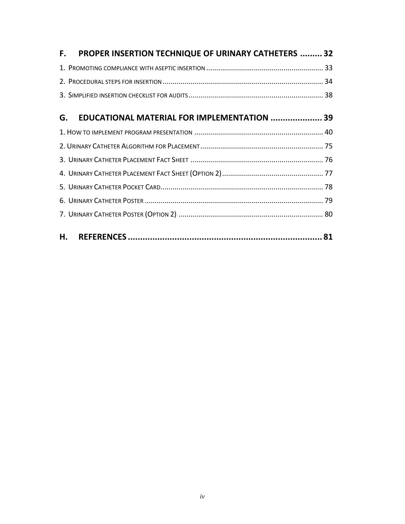| F. PROPER INSERTION TECHNIQUE OF URINARY CATHETERS  32 |  |
|--------------------------------------------------------|--|
|                                                        |  |
|                                                        |  |
|                                                        |  |
| EDUCATIONAL MATERIAL FOR IMPLEMENTATION  39<br>G.      |  |
|                                                        |  |
|                                                        |  |
|                                                        |  |
|                                                        |  |
|                                                        |  |
|                                                        |  |
|                                                        |  |
|                                                        |  |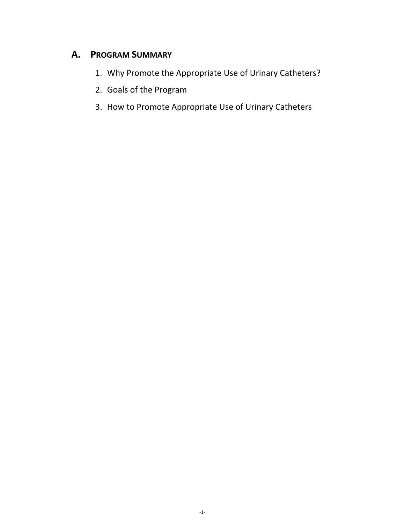# **A. PROGRAM SUMMARY**

- 1. Why Promote the Appropriate Use of Urinary Catheters?
- 2. Goals of the Program
- 3. How to Promote Appropriate Use of Urinary Catheters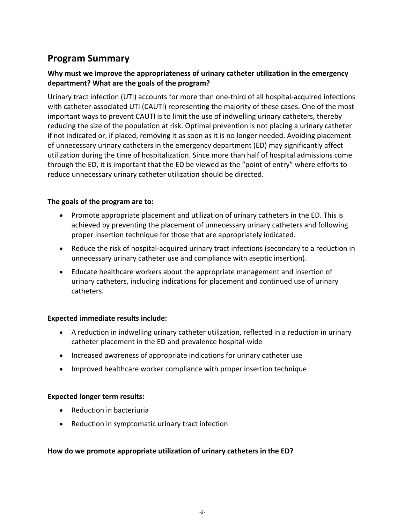# **Program Summary**

### **Why must we improve the appropriateness of urinary catheter utilization in the emergency department? What are the goals of the program?**

Urinary tract infection (UTI) accounts for more than one‐third of all hospital‐acquired infections with catheter-associated UTI (CAUTI) representing the majority of these cases. One of the most important ways to prevent CAUTI is to limit the use of indwelling urinary catheters, thereby reducing the size of the population at risk. Optimal prevention is not placing a urinary catheter if not indicated or, if placed, removing it as soon as it is no longer needed. Avoiding placement of unnecessary urinary catheters in the emergency department (ED) may significantly affect utilization during the time of hospitalization. Since more than half of hospital admissions come through the ED, it is important that the ED be viewed as the "point of entry" where efforts to reduce unnecessary urinary catheter utilization should be directed.

#### **The goals of the program are to:**

- Promote appropriate placement and utilization of urinary catheters in the ED. This is achieved by preventing the placement of unnecessary urinary catheters and following proper insertion technique for those that are appropriately indicated.
- Reduce the risk of hospital-acquired urinary tract infections (secondary to a reduction in unnecessary urinary catheter use and compliance with aseptic insertion).
- Educate healthcare workers about the appropriate management and insertion of urinary catheters, including indications for placement and continued use of urinary catheters.

#### **Expected immediate results include:**

- A reduction in indwelling urinary catheter utilization, reflected in a reduction in urinary catheter placement in the ED and prevalence hospital‐wide
- Increased awareness of appropriate indications for urinary catheter use
- Improved healthcare worker compliance with proper insertion technique

#### **Expected longer term results:**

- Reduction in bacteriuria
- Reduction in symptomatic urinary tract infection

#### **How do we promote appropriate utilization of urinary catheters in the ED?**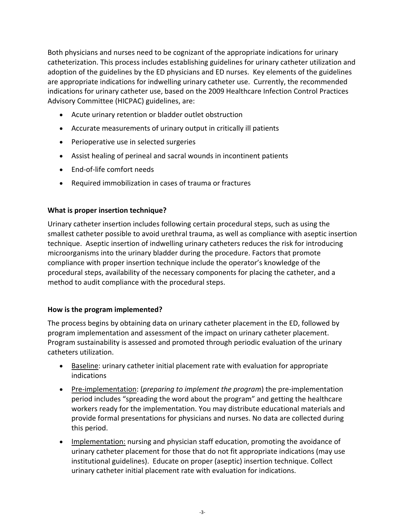Both physicians and nurses need to be cognizant of the appropriate indications for urinary catheterization. This process includes establishing guidelines for urinary catheter utilization and adoption of the guidelines by the ED physicians and ED nurses. Key elements of the guidelines are appropriate indications for indwelling urinary catheter use. Currently, the recommended indications for urinary catheter use, based on the 2009 Healthcare Infection Control Practices Advisory Committee (HICPAC) guidelines, are:

- Acute urinary retention or bladder outlet obstruction
- Accurate measurements of urinary output in critically ill patients
- Perioperative use in selected surgeries
- Assist healing of perineal and sacral wounds in incontinent patients
- End-of-life comfort needs
- Required immobilization in cases of trauma or fractures

#### **What is proper insertion technique?**

Urinary catheter insertion includes following certain procedural steps, such as using the smallest catheter possible to avoid urethral trauma, as well as compliance with aseptic insertion technique. Aseptic insertion of indwelling urinary catheters reduces the risk for introducing microorganisms into the urinary bladder during the procedure. Factors that promote compliance with proper insertion technique include the operator's knowledge of the procedural steps, availability of the necessary components for placing the catheter, and a method to audit compliance with the procedural steps.

#### **How is the program implemented?**

The process begins by obtaining data on urinary catheter placement in the ED, followed by program implementation and assessment of the impact on urinary catheter placement. Program sustainability is assessed and promoted through periodic evaluation of the urinary catheters utilization.

- **Baseline:** urinary catheter initial placement rate with evaluation for appropriate indications
- Pre-implementation: (*preparing to implement the program*) the pre-implementation period includes "spreading the word about the program" and getting the healthcare workers ready for the implementation. You may distribute educational materials and provide formal presentations for physicians and nurses. No data are collected during this period.
- Implementation: nursing and physician staff education, promoting the avoidance of urinary catheter placement for those that do not fit appropriate indications (may use institutional guidelines). Educate on proper (aseptic) insertion technique. Collect urinary catheter initial placement rate with evaluation for indications.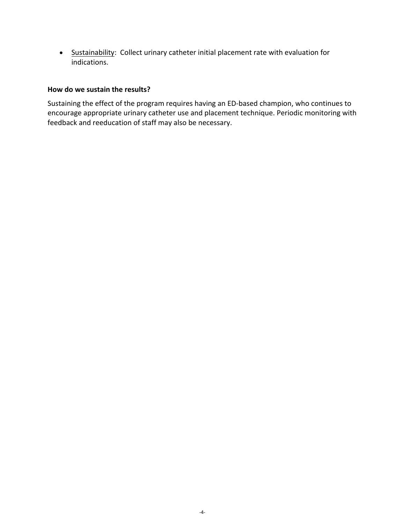• Sustainability: Collect urinary catheter initial placement rate with evaluation for indications.

#### **How do we sustain the results?**

Sustaining the effect of the program requires having an ED‐based champion, who continues to encourage appropriate urinary catheter use and placement technique. Periodic monitoring with feedback and reeducation of staff may also be necessary.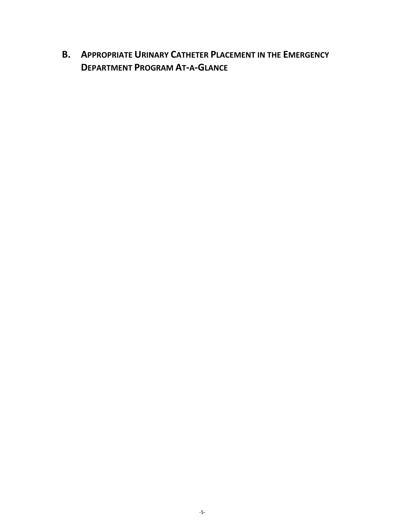**B. APPROPRIATE URINARY CATHETER PLACEMENT IN THE EMERGENCY DEPARTMENT PROGRAM AT‐A‐GLANCE**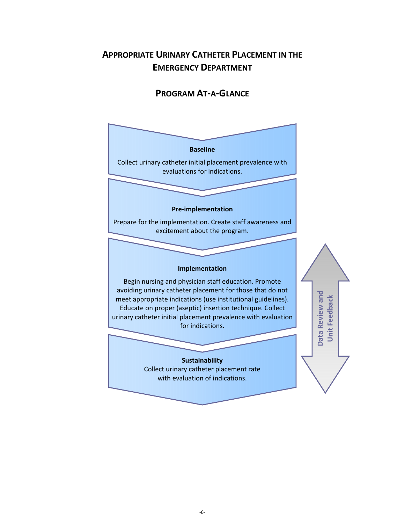# **APPROPRIATE URINARY CATHETER PLACEMENT IN THE EMERGENCY DEPARTMENT**

### **PROGRAM AT‐A‐GLANCE**

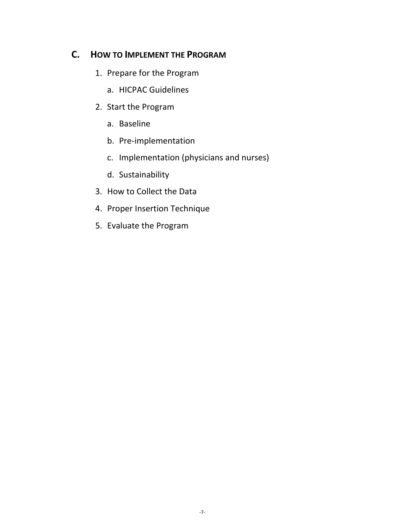## **C. HOW TO IMPLEMENT THE PROGRAM**

- 1. Prepare for the Program
	- a. HICPAC Guidelines
- 2. Start the Program
	- a. Baseline
	- b. Pre‐implementation
	- c. Implementation (physicians and nurses)
	- d. Sustainability
- 3. How to Collect the Data
- 4. Proper Insertion Technique
- 5. Evaluate the Program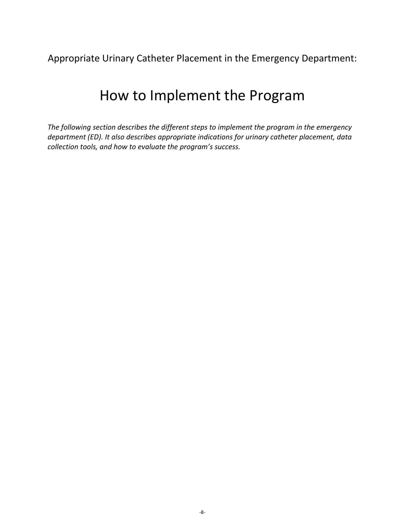Appropriate Urinary Catheter Placement in the Emergency Department:

# How to Implement the Program

*The following section describes the different steps to implement the program in the emergency department (ED). It also describes appropriate indications for urinary catheter placement, data collection tools, and how to evaluate the program's success.*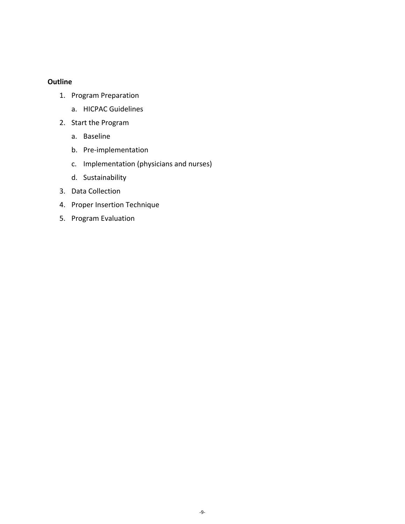#### **Outline**

- 1. Program Preparation
	- a. HICPAC Guidelines
- 2. Start the Program
	- a. Baseline
	- b. Pre‐implementation
	- c. Implementation (physicians and nurses)
	- d. Sustainability
- 3. Data Collection
- 4. Proper Insertion Technique
- 5. Program Evaluation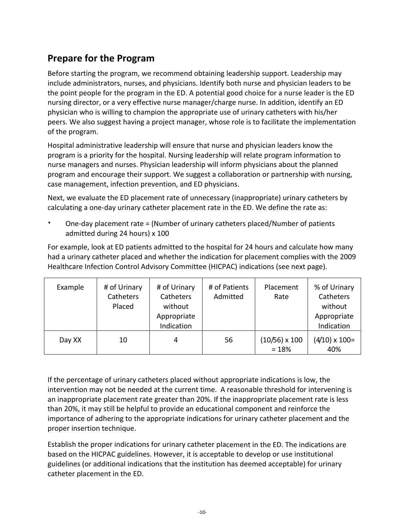# **Prepare for the Program**

Before starting the program, we recommend obtaining leadership support. Leadership may include administrators, nurses, and physicians. Identify both nurse and physician leaders to be the point people for the program in the ED. A potential good choice for a nurse leader is the ED nursing director, or a very effective nurse manager/charge nurse. In addition, identify an ED physician who is willing to champion the appropriate use of urinary catheters with his/her peers. We also suggest having a project manager, whose role is to facilitate the implementation of the program.

Hospital administrative leadership will ensure that nurse and physician leaders know the program is a priority for the hospital. Nursing leadership will relate program information to nurse managers and nurses. Physician leadership will inform physicians about the planned program and encourage their support. We suggest a collaboration or partnership with nursing, case management, infection prevention, and ED physicians.

Next, we evaluate the ED placement rate of unnecessary (inappropriate) urinary catheters by calculating a one‐day urinary catheter placement rate in the ED. We define the rate as:

• One‐day placement rate = (Number of urinary catheters placed/Number of patients admitted during 24 hours) x 100

For example, look at ED patients admitted to the hospital for 24 hours and calculate how many had a urinary catheter placed and whether the indication for placement complies with the 2009 Healthcare Infection Control Advisory Committee (HICPAC) indications (see next page).

| Example | # of Urinary<br>Catheters<br>Placed | # of Urinary<br>Catheters<br>without<br>Appropriate<br>Indication | # of Patients<br>Admitted | Placement<br>Rate               | % of Urinary<br>Catheters<br>without<br>Appropriate<br>Indication |
|---------|-------------------------------------|-------------------------------------------------------------------|---------------------------|---------------------------------|-------------------------------------------------------------------|
| Day XX  | 10                                  | 4                                                                 | 56                        | $(10/56) \times 100$<br>$= 18%$ | $(4/10) \times 100=$<br>40%                                       |

If the percentage of urinary catheters placed without appropriate indications is low, the intervention may not be needed at the current time. A reasonable threshold for intervening is an inappropriate placement rate greater than 20%. If the inappropriate placement rate is less than 20%, it may still be helpful to provide an educational component and reinforce the importance of adhering to the appropriate indications for urinary catheter placement and the proper insertion technique.

Establish the proper indications for urinary catheter placement in the ED. The indications are based on the HICPAC guidelines. However, it is acceptable to develop or use institutional guidelines (or additional indications that the institution has deemed acceptable) for urinary catheter placement in the ED.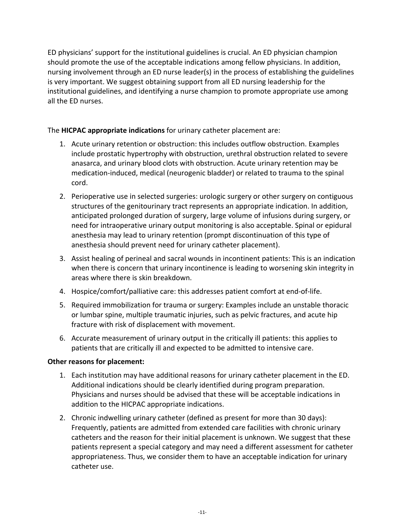ED physicians' support for the institutional guidelines is crucial. An ED physician champion should promote the use of the acceptable indications among fellow physicians. In addition, nursing involvement through an ED nurse leader(s) in the process of establishing the guidelines is very important. We suggest obtaining support from all ED nursing leadership for the institutional guidelines, and identifying a nurse champion to promote appropriate use among all the ED nurses.

#### The **HICPAC appropriate indications** for urinary catheter placement are:

- 1. Acute urinary retention or obstruction: this includes outflow obstruction. Examples include prostatic hypertrophy with obstruction, urethral obstruction related to severe anasarca, and urinary blood clots with obstruction. Acute urinary retention may be medication‐induced, medical (neurogenic bladder) or related to trauma to the spinal cord.
- 2. Perioperative use in selected surgeries: urologic surgery or other surgery on contiguous structures of the genitourinary tract represents an appropriate indication. In addition, anticipated prolonged duration of surgery, large volume of infusions during surgery, or need for intraoperative urinary output monitoring is also acceptable. Spinal or epidural anesthesia may lead to urinary retention (prompt discontinuation of this type of anesthesia should prevent need for urinary catheter placement).
- 3. Assist healing of perineal and sacral wounds in incontinent patients: This is an indication when there is concern that urinary incontinence is leading to worsening skin integrity in areas where there is skin breakdown.
- 4. Hospice/comfort/palliative care: this addresses patient comfort at end‐of‐life.
- 5. Required immobilization for trauma or surgery: Examples include an unstable thoracic or lumbar spine, multiple traumatic injuries, such as pelvic fractures, and acute hip fracture with risk of displacement with movement.
- 6. Accurate measurement of urinary output in the critically ill patients: this applies to patients that are critically ill and expected to be admitted to intensive care.

#### **Other reasons for placement:**

- 1. Each institution may have additional reasons for urinary catheter placement in the ED. Additional indications should be clearly identified during program preparation. Physicians and nurses should be advised that these will be acceptable indications in addition to the HICPAC appropriate indications.
- 2. Chronic indwelling urinary catheter (defined as present for more than 30 days): Frequently, patients are admitted from extended care facilities with chronic urinary catheters and the reason for their initial placement is unknown. We suggest that these patients represent a special category and may need a different assessment for catheter appropriateness. Thus, we consider them to have an acceptable indication for urinary catheter use.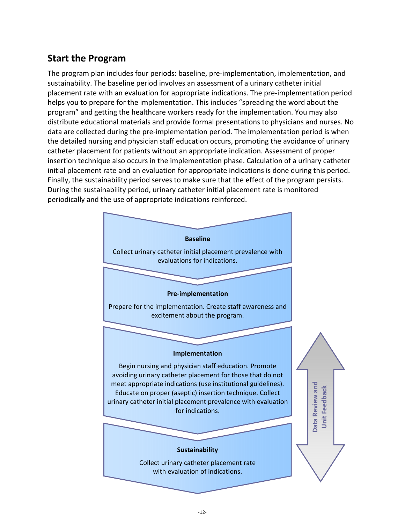# **Start the Program**

The program plan includes four periods: baseline, pre‐implementation, implementation, and sustainability. The baseline period involves an assessment of a urinary catheter initial placement rate with an evaluation for appropriate indications. The pre‐implementation period helps you to prepare for the implementation. This includes "spreading the word about the program" and getting the healthcare workers ready for the implementation. You may also distribute educational materials and provide formal presentations to physicians and nurses. No data are collected during the pre‐implementation period. The implementation period is when the detailed nursing and physician staff education occurs, promoting the avoidance of urinary catheter placement for patients without an appropriate indication. Assessment of proper insertion technique also occurs in the implementation phase. Calculation of a urinary catheter initial placement rate and an evaluation for appropriate indications is done during this period. Finally, the sustainability period serves to make sure that the effect of the program persists. During the sustainability period, urinary catheter initial placement rate is monitored periodically and the use of appropriate indications reinforced.

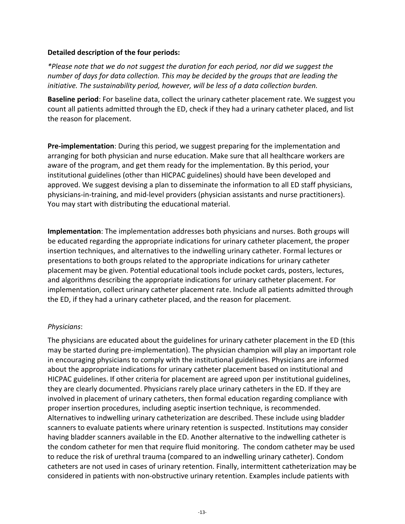#### **Detailed description of the four periods:**

*\*Please note that we do not suggest the duration for each period, nor did we suggest the number of days for data collection. This may be decided by the groups that are leading the initiative. The sustainability period, however, will be less of a data collection burden.*

**Baseline period**: For baseline data, collect the urinary catheter placement rate. We suggest you count all patients admitted through the ED, check if they had a urinary catheter placed, and list the reason for placement.

**Pre‐implementation**: During this period, we suggest preparing for the implementation and arranging for both physician and nurse education. Make sure that all healthcare workers are aware of the program, and get them ready for the implementation. By this period, your institutional guidelines (other than HICPAC guidelines) should have been developed and approved. We suggest devising a plan to disseminate the information to all ED staff physicians, physicians‐in‐training, and mid‐level providers (physician assistants and nurse practitioners). You may start with distributing the educational material.

**Implementation**: The implementation addresses both physicians and nurses. Both groups will be educated regarding the appropriate indications for urinary catheter placement, the proper insertion techniques, and alternatives to the indwelling urinary catheter. Formal lectures or presentations to both groups related to the appropriate indications for urinary catheter placement may be given. Potential educational tools include pocket cards, posters, lectures, and algorithms describing the appropriate indications for urinary catheter placement. For implementation, collect urinary catheter placement rate. Include all patients admitted through the ED, if they had a urinary catheter placed, and the reason for placement.

#### *Physicians*:

The physicians are educated about the guidelines for urinary catheter placement in the ED (this may be started during pre‐implementation). The physician champion will play an important role in encouraging physicians to comply with the institutional guidelines. Physicians are informed about the appropriate indications for urinary catheter placement based on institutional and HICPAC guidelines. If other criteria for placement are agreed upon per institutional guidelines, they are clearly documented. Physicians rarely place urinary catheters in the ED. If they are involved in placement of urinary catheters, then formal education regarding compliance with proper insertion procedures, including aseptic insertion technique, is recommended. Alternatives to indwelling urinary catheterization are described. These include using bladder scanners to evaluate patients where urinary retention is suspected. Institutions may consider having bladder scanners available in the ED. Another alternative to the indwelling catheter is the condom catheter for men that require fluid monitoring. The condom catheter may be used to reduce the risk of urethral trauma (compared to an indwelling urinary catheter). Condom catheters are not used in cases of urinary retention. Finally, intermittent catheterization may be considered in patients with non‐obstructive urinary retention. Examples include patients with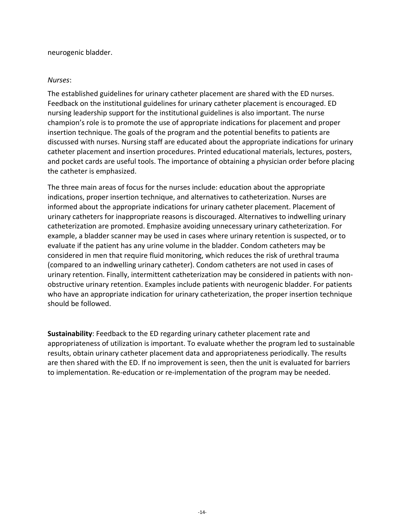#### neurogenic bladder.

#### *Nurses*:

The established guidelines for urinary catheter placement are shared with the ED nurses. Feedback on the institutional guidelines for urinary catheter placement is encouraged. ED nursing leadership support for the institutional guidelines is also important. The nurse champion's role is to promote the use of appropriate indications for placement and proper insertion technique. The goals of the program and the potential benefits to patients are discussed with nurses. Nursing staff are educated about the appropriate indications for urinary catheter placement and insertion procedures. Printed educational materials, lectures, posters, and pocket cards are useful tools. The importance of obtaining a physician order before placing the catheter is emphasized.

The three main areas of focus for the nurses include: education about the appropriate indications, proper insertion technique, and alternatives to catheterization. Nurses are informed about the appropriate indications for urinary catheter placement. Placement of urinary catheters for inappropriate reasons is discouraged. Alternatives to indwelling urinary catheterization are promoted. Emphasize avoiding unnecessary urinary catheterization. For example, a bladder scanner may be used in cases where urinary retention is suspected, or to evaluate if the patient has any urine volume in the bladder. Condom catheters may be considered in men that require fluid monitoring, which reduces the risk of urethral trauma (compared to an indwelling urinary catheter). Condom catheters are not used in cases of urinary retention. Finally, intermittent catheterization may be considered in patients with non‐ obstructive urinary retention. Examples include patients with neurogenic bladder. For patients who have an appropriate indication for urinary catheterization, the proper insertion technique should be followed.

**Sustainability**: Feedback to the ED regarding urinary catheter placement rate and appropriateness of utilization is important. To evaluate whether the program led to sustainable results, obtain urinary catheter placement data and appropriateness periodically. The results are then shared with the ED. If no improvement is seen, then the unit is evaluated for barriers to implementation. Re‐education or re‐implementation of the program may be needed.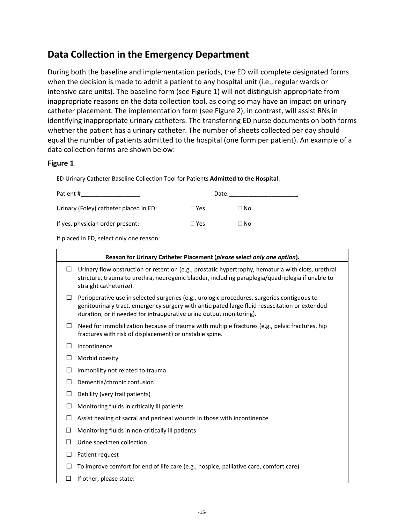# **Data Collection in the Emergency Department**

During both the baseline and implementation periods, the ED will complete designated forms when the decision is made to admit a patient to any hospital unit (i.e., regular wards or intensive care units). The baseline form (see Figure 1) will not distinguish appropriate from inappropriate reasons on the data collection tool, as doing so may have an impact on urinary catheter placement. The implementation form (see Figure 2), in contrast, will assist RNs in identifying inappropriate urinary catheters. The transferring ED nurse documents on both forms whether the patient has a urinary catheter. The number of sheets collected per day should equal the number of patients admitted to the hospital (one form per patient). An example of a data collection forms are shown below:

#### **Figure 1**

ED Urinary Catheter Baseline Collection Tool for Patients **Admitted to the Hospital**:

| Patient #                              | Date:        |      |
|----------------------------------------|--------------|------|
| Urinary (Foley) catheter placed in ED: | $\Box$ Yes   | ∏ No |
| If yes, physician order present:       | $\sqcap$ Yes | ∃ No |

If placed in ED, select only one reason:

|    | Reason for Urinary Catheter Placement (please select only one option).                                                                                                                                                                                              |  |  |  |  |
|----|---------------------------------------------------------------------------------------------------------------------------------------------------------------------------------------------------------------------------------------------------------------------|--|--|--|--|
| П  | Urinary flow obstruction or retention (e.g., prostatic hypertrophy, hematuria with clots, urethral<br>stricture, trauma to urethra, neurogenic bladder, including paraplegia/quadriplegia if unable to<br>straight catheterize).                                    |  |  |  |  |
| □  | Perioperative use in selected surgeries (e.g., urologic procedures, surgeries contiguous to<br>genitourinary tract, emergency surgery with anticipated large fluid resuscitation or extended<br>duration, or if needed for intraoperative urine output monitoring). |  |  |  |  |
| П  | Need for immobilization because of trauma with multiple fractures (e.g., pelvic fractures, hip<br>fractures with risk of displacement) or unstable spine.                                                                                                           |  |  |  |  |
| ΙI | Incontinence                                                                                                                                                                                                                                                        |  |  |  |  |
| L  | Morbid obesity                                                                                                                                                                                                                                                      |  |  |  |  |
| L  | Immobility not related to trauma                                                                                                                                                                                                                                    |  |  |  |  |
| L  | Dementia/chronic confusion                                                                                                                                                                                                                                          |  |  |  |  |
| □  | Debility (very frail patients)                                                                                                                                                                                                                                      |  |  |  |  |
| □  | Monitoring fluids in critically ill patients                                                                                                                                                                                                                        |  |  |  |  |
|    | Assist healing of sacral and perineal wounds in those with incontinence                                                                                                                                                                                             |  |  |  |  |
|    | Monitoring fluids in non-critically ill patients                                                                                                                                                                                                                    |  |  |  |  |
| LI | Urine specimen collection                                                                                                                                                                                                                                           |  |  |  |  |
| L  | Patient request                                                                                                                                                                                                                                                     |  |  |  |  |
| L  | To improve comfort for end of life care (e.g., hospice, palliative care, comfort care)                                                                                                                                                                              |  |  |  |  |
|    | If other, please state:                                                                                                                                                                                                                                             |  |  |  |  |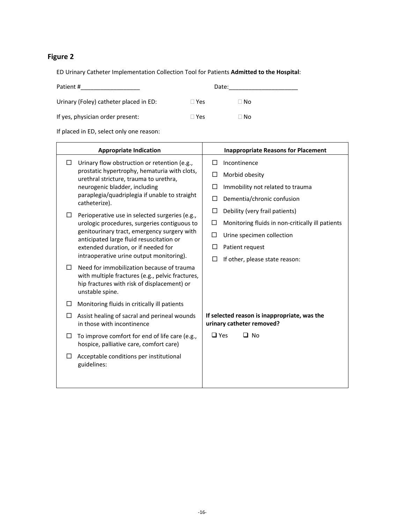### **Figure 2**

ED Urinary Catheter Implementation Collection Tool for Patients **Admitted to the Hospital**:

| Patient #                              | Date:        |      |
|----------------------------------------|--------------|------|
| Urinary (Foley) catheter placed in ED: | $\sqcap$ Yes | ∃ No |
| If yes, physician order present:       | $\Box$ Yes   | ⊟ No |

If placed in ED, select only one reason:

|        | <b>Appropriate Indication</b>                                                                                                                                   | <b>Inappropriate Reasons for Placement</b>                                |
|--------|-----------------------------------------------------------------------------------------------------------------------------------------------------------------|---------------------------------------------------------------------------|
| □      | Urinary flow obstruction or retention (e.g.,                                                                                                                    | П<br>Incontinence                                                         |
|        | prostatic hypertrophy, hematuria with clots,<br>urethral stricture, trauma to urethra,                                                                          | □<br>Morbid obesity                                                       |
|        | neurogenic bladder, including<br>paraplegia/quadriplegia if unable to straight<br>catheterize).                                                                 | П<br>Immobility not related to trauma                                     |
|        |                                                                                                                                                                 | Dementia/chronic confusion<br>□                                           |
| $\Box$ | Perioperative use in selected surgeries (e.g.,                                                                                                                  | □<br>Debility (very frail patients)                                       |
|        | urologic procedures, surgeries contiguous to                                                                                                                    | □<br>Monitoring fluids in non-critically ill patients                     |
|        | genitourinary tract, emergency surgery with<br>anticipated large fluid resuscitation or                                                                         | □<br>Urine specimen collection                                            |
|        | extended duration, or if needed for                                                                                                                             | □<br>Patient request                                                      |
|        | intraoperative urine output monitoring).                                                                                                                        | If other, please state reason:<br>П                                       |
| П.     | Need for immobilization because of trauma<br>with multiple fractures (e.g., pelvic fractures,<br>hip fractures with risk of displacement) or<br>unstable spine. |                                                                           |
| □      | Monitoring fluids in critically ill patients                                                                                                                    |                                                                           |
| □      | Assist healing of sacral and perineal wounds<br>in those with incontinence                                                                                      | If selected reason is inappropriate, was the<br>urinary catheter removed? |
| □      | To improve comfort for end of life care (e.g.,<br>hospice, palliative care, comfort care)                                                                       | $\square$ Yes<br>$\square$ No                                             |
| □      | Acceptable conditions per institutional<br>guidelines:                                                                                                          |                                                                           |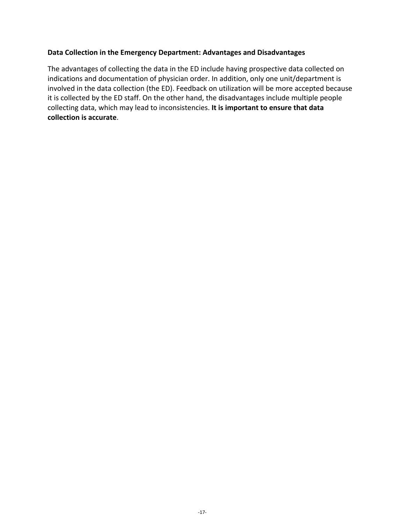#### **Data Collection in the Emergency Department: Advantages and Disadvantages**

The advantages of collecting the data in the ED include having prospective data collected on indications and documentation of physician order. In addition, only one unit/department is involved in the data collection (the ED). Feedback on utilization will be more accepted because it is collected by the ED staff. On the other hand, the disadvantages include multiple people collecting data, which may lead to inconsistencies. **It is important to ensure that data collection is accurate**.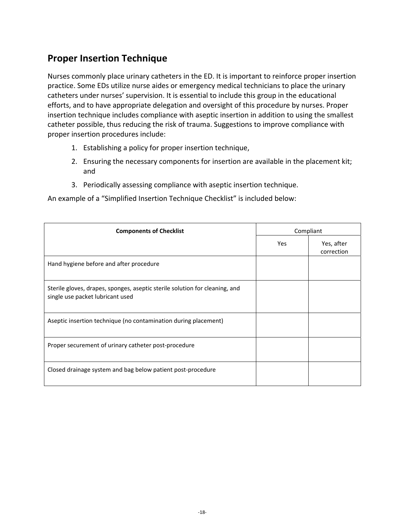# **Proper Insertion Technique**

Nurses commonly place urinary catheters in the ED. It is important to reinforce proper insertion practice. Some EDs utilize nurse aides or emergency medical technicians to place the urinary catheters under nurses' supervision. It is essential to include this group in the educational efforts, and to have appropriate delegation and oversight of this procedure by nurses. Proper insertion technique includes compliance with aseptic insertion in addition to using the smallest catheter possible, thus reducing the risk of trauma. Suggestions to improve compliance with proper insertion procedures include:

- 1. Establishing a policy for proper insertion technique,
- 2. Ensuring the necessary components for insertion are available in the placement kit; and
- 3. Periodically assessing compliance with aseptic insertion technique.

An example of a "Simplified Insertion Technique Checklist" is included below:

| <b>Components of Checklist</b>                                                                                  |     | Compliant                |
|-----------------------------------------------------------------------------------------------------------------|-----|--------------------------|
|                                                                                                                 | Yes | Yes, after<br>correction |
| Hand hygiene before and after procedure                                                                         |     |                          |
| Sterile gloves, drapes, sponges, aseptic sterile solution for cleaning, and<br>single use packet lubricant used |     |                          |
| Aseptic insertion technique (no contamination during placement)                                                 |     |                          |
| Proper securement of urinary catheter post-procedure                                                            |     |                          |
| Closed drainage system and bag below patient post-procedure                                                     |     |                          |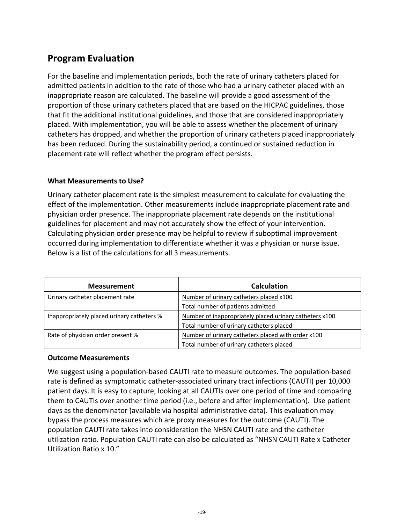# **Program Evaluation**

For the baseline and implementation periods, both the rate of urinary catheters placed for admitted patients in addition to the rate of those who had a urinary catheter placed with an inappropriate reason are calculated. The baseline will provide a good assessment of the proportion of those urinary catheters placed that are based on the HICPAC guidelines, those that fit the additional institutional guidelines, and those that are considered inappropriately placed. With implementation, you will be able to assess whether the placement of urinary catheters has dropped, and whether the proportion of urinary catheters placed inappropriately has been reduced. During the sustainability period, a continued or sustained reduction in placement rate will reflect whether the program effect persists.

#### **What Measurements to Use?**

Urinary catheter placement rate is the simplest measurement to calculate for evaluating the effect of the implementation. Other measurements include inappropriate placement rate and physician order presence. The inappropriate placement rate depends on the institutional guidelines for placement and may not accurately show the effect of your intervention. Calculating physician order presence may be helpful to review if suboptimal improvement occurred during implementation to differentiate whether it was a physician or nurse issue. Below is a list of the calculations for all 3 measurements.

| <b>Measurement</b>                         | <b>Calculation</b>                                      |  |
|--------------------------------------------|---------------------------------------------------------|--|
| Urinary catheter placement rate            | Number of urinary catheters placed x100                 |  |
|                                            | Total number of patients admitted                       |  |
| Inappropriately placed urinary catheters % | Number of inappropriately placed urinary catheters x100 |  |
|                                            | Total number of urinary catheters placed                |  |
| Rate of physician order present %          | Number of urinary catheters placed with order x100      |  |
|                                            | Total number of urinary catheters placed                |  |

#### **Outcome Measurements**

We suggest using a population‐based CAUTI rate to measure outcomes. The population‐based rate is defined as symptomatic catheter‐associated urinary tract infections (CAUTI) per 10,000 patient days. It is easy to capture, looking at all CAUTIs over one period of time and comparing them to CAUTIs over another time period (i.e., before and after implementation). Use patient days as the denominator (available via hospital administrative data). This evaluation may bypass the process measures which are proxy measures for the outcome (CAUTI). The population CAUTI rate takes into consideration the NHSN CAUTI rate and the catheter utilization ratio. Population CAUTI rate can also be calculated as "NHSN CAUTI Rate x Catheter Utilization Ratio x 10."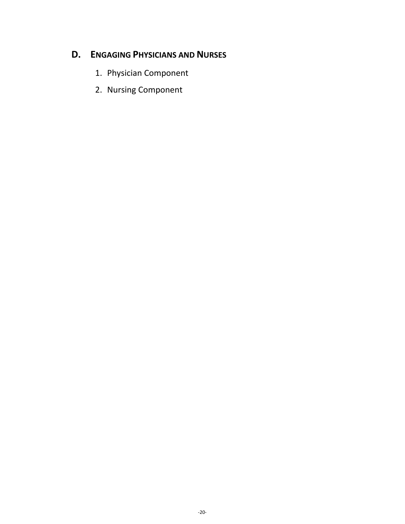# **D. ENGAGING PHYSICIANS AND NURSES**

- 1. Physician Component
- 2. Nursing Component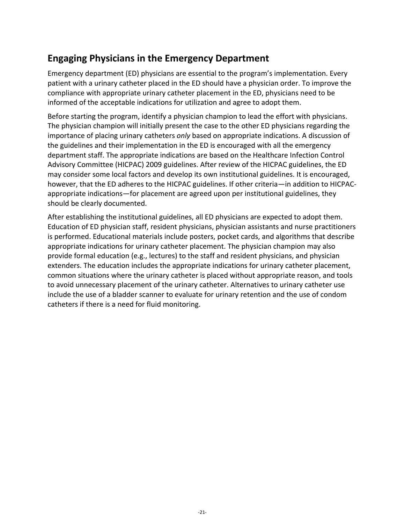# **Engaging Physicians in the Emergency Department**

Emergency department (ED) physicians are essential to the program's implementation. Every patient with a urinary catheter placed in the ED should have a physician order. To improve the compliance with appropriate urinary catheter placement in the ED, physicians need to be informed of the acceptable indications for utilization and agree to adopt them.

Before starting the program, identify a physician champion to lead the effort with physicians. The physician champion will initially present the case to the other ED physicians regarding the importance of placing urinary catheters *only* based on appropriate indications. A discussion of the guidelines and their implementation in the ED is encouraged with all the emergency department staff. The appropriate indications are based on the Healthcare Infection Control Advisory Committee (HICPAC) 2009 guidelines. After review of the HICPAC guidelines, the ED may consider some local factors and develop its own institutional guidelines. It is encouraged, however, that the ED adheres to the HICPAC guidelines. If other criteria—in addition to HICPACappropriate indications—for placement are agreed upon per institutional guidelines, they should be clearly documented.

After establishing the institutional guidelines, all ED physicians are expected to adopt them. Education of ED physician staff, resident physicians, physician assistants and nurse practitioners is performed. Educational materials include posters, pocket cards, and algorithms that describe appropriate indications for urinary catheter placement. The physician champion may also provide formal education (e.g., lectures) to the staff and resident physicians, and physician extenders. The education includes the appropriate indications for urinary catheter placement, common situations where the urinary catheter is placed without appropriate reason, and tools to avoid unnecessary placement of the urinary catheter. Alternatives to urinary catheter use include the use of a bladder scanner to evaluate for urinary retention and the use of condom catheters if there is a need for fluid monitoring.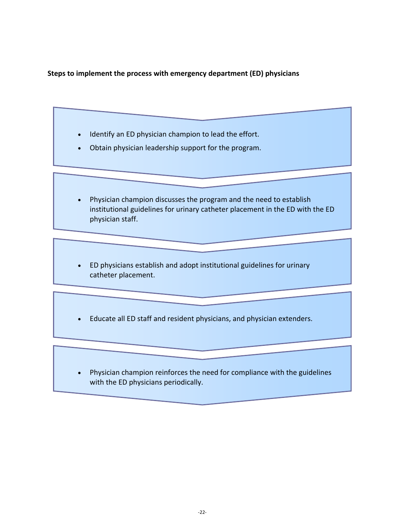**Steps to implement the process with emergency department (ED) physicians**

- Identify an ED physician champion to lead the effort.
- Obtain physician leadership support for the program.
- Physician champion discusses the program and the need to establish institutional guidelines for urinary catheter placement in the ED with the ED physician staff.
- ED physicians establish and adopt institutional guidelines for urinary catheter placement.
- Educate all ED staff and resident physicians, and physician extenders.
- Physician champion reinforces the need for compliance with the guidelines with the ED physicians periodically.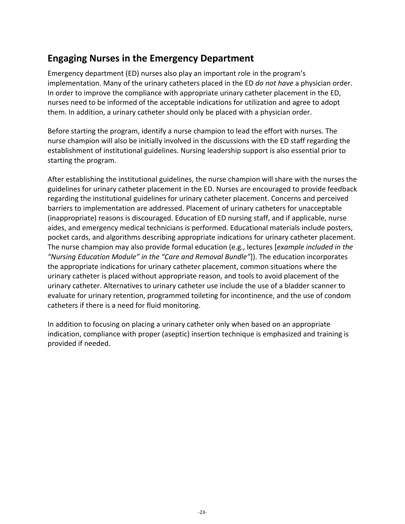# **Engaging Nurses in the Emergency Department**

Emergency department (ED) nurses also play an important role in the program's implementation. Many of the urinary catheters placed in the ED *do not have* a physician order. In order to improve the compliance with appropriate urinary catheter placement in the ED, nurses need to be informed of the acceptable indications for utilization and agree to adopt them. In addition, a urinary catheter should only be placed with a physician order.

Before starting the program, identify a nurse champion to lead the effort with nurses. The nurse champion will also be initially involved in the discussions with the ED staff regarding the establishment of institutional guidelines. Nursing leadership support is also essential prior to starting the program.

After establishing the institutional guidelines, the nurse champion will share with the nurses the guidelines for urinary catheter placement in the ED. Nurses are encouraged to provide feedback regarding the institutional guidelines for urinary catheter placement. Concerns and perceived barriers to implementation are addressed. Placement of urinary catheters for unacceptable (inappropriate) reasons is discouraged. Education of ED nursing staff, and if applicable, nurse aides, and emergency medical technicians is performed. Educational materials include posters, pocket cards, and algorithms describing appropriate indications for urinary catheter placement. The nurse champion may also provide formal education (e.g., lectures [*example included in the "Nursing Education Module" in the "Care and Removal Bundle"*]). The education incorporates the appropriate indications for urinary catheter placement, common situations where the urinary catheter is placed without appropriate reason, and tools to avoid placement of the urinary catheter. Alternatives to urinary catheter use include the use of a bladder scanner to evaluate for urinary retention, programmed toileting for incontinence, and the use of condom catheters if there is a need for fluid monitoring.

In addition to focusing on placing a urinary catheter only when based on an appropriate indication, compliance with proper (aseptic) insertion technique is emphasized and training is provided if needed.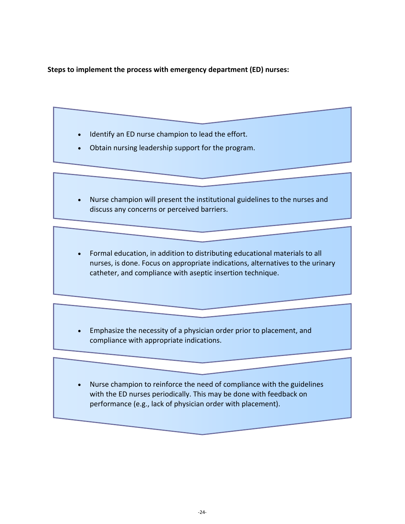**Steps to implement the process with emergency department (ED) nurses:**

- Identify an ED nurse champion to lead the effort.
- Obtain nursing leadership support for the program.
- Nurse champion will present the institutional guidelines to the nurses and discuss any concerns or perceived barriers.
- Formal education, in addition to distributing educational materials to all nurses, is done. Focus on appropriate indications, alternatives to the urinary catheter, and compliance with aseptic insertion technique.
- Emphasize the necessity of a physician order prior to placement, and compliance with appropriate indications.
- Nurse champion to reinforce the need of compliance with the guidelines with the ED nurses periodically. This may be done with feedback on performance (e.g., lack of physician order with placement).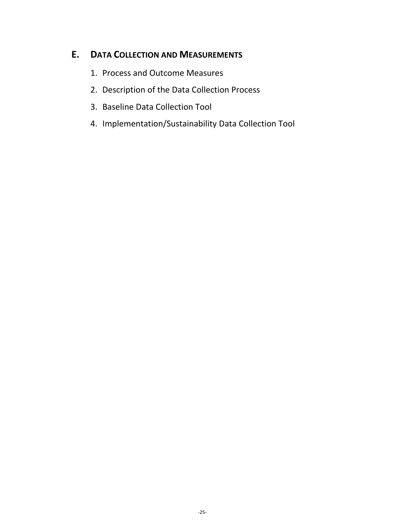# **E. DATA COLLECTION AND MEASUREMENTS**

- 1. Process and Outcome Measures
- 2. Description of the Data Collection Process
- 3. Baseline Data Collection Tool
- 4. Implementation/Sustainability Data Collection Tool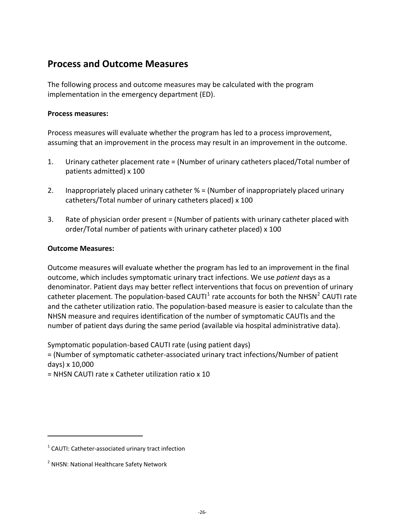# **Process and Outcome Measures**

The following process and outcome measures may be calculated with the program implementation in the emergency department (ED).

#### **Process measures:**

Process measures will evaluate whether the program has led to a process improvement, assuming that an improvement in the process may result in an improvement in the outcome.

- 1. Urinary catheter placement rate = (Number of urinary catheters placed/Total number of patients admitted) x 100
- 2. Inappropriately placed urinary catheter % = (Number of inappropriately placed urinary catheters/Total number of urinary catheters placed) x 100
- 3. Rate of physician order present = (Number of patients with urinary catheter placed with order/Total number of patients with urinary catheter placed) x 100

#### **Outcome Measures:**

Outcome measures will evaluate whether the program has led to an improvement in the final outcome, which includes symptomatic urinary tract infections. We use *patient* days as a denominator. Patient days may better reflect interventions that focus on prevention of urinary catheter placement. The population-based CAUTI $<sup>1</sup>$  $<sup>1</sup>$  $<sup>1</sup>$  rate accounts for both the NHSN<sup>[2](#page-29-1)</sup> CAUTI rate</sup> and the catheter utilization ratio. The population‐based measure is easier to calculate than the NHSN measure and requires identification of the number of symptomatic CAUTIs and the number of patient days during the same period (available via hospital administrative data).

Symptomatic population‐based CAUTI rate (using patient days)

= (Number of symptomatic catheter‐associated urinary tract infections/Number of patient days) x 10,000

= NHSN CAUTI rate x Catheter utilization ratio x 10

<span id="page-29-0"></span> $1$  CAUTI: Catheter-associated urinary tract infection

<span id="page-29-1"></span><sup>&</sup>lt;sup>2</sup> NHSN: National Healthcare Safety Network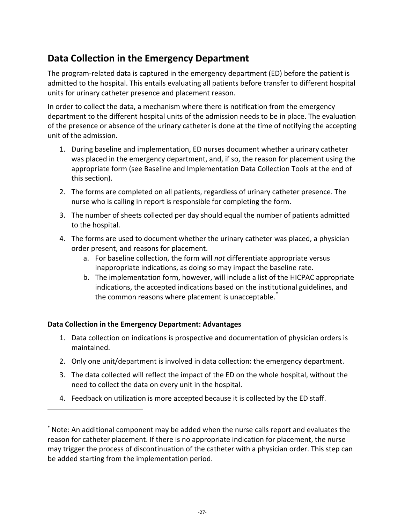# **Data Collection in the Emergency Department**

The program-related data is captured in the emergency department (ED) before the patient is admitted to the hospital. This entails evaluating all patients before transfer to different hospital units for urinary catheter presence and placement reason.

In order to collect the data, a mechanism where there is notification from the emergency department to the different hospital units of the admission needs to be in place. The evaluation of the presence or absence of the urinary catheter is done at the time of notifying the accepting unit of the admission.

- 1. During baseline and implementation, ED nurses document whether a urinary catheter was placed in the emergency department, and, if so, the reason for placement using the appropriate form (see Baseline and Implementation Data Collection Tools at the end of this section).
- 2. The forms are completed on all patients, regardless of urinary catheter presence. The nurse who is calling in report is responsible for completing the form.
- 3. The number of sheets collected per day should equal the number of patients admitted to the hospital.
- 4. The forms are used to document whether the urinary catheter was placed, a physician order present, and reasons for placement.
	- a. For baseline collection, the form will *not* differentiate appropriate versus inappropriate indications, as doing so may impact the baseline rate.
	- b. The implementation form, however, will include a list of the HICPAC appropriate indications, the accepted indications based on the institutional guidelines, and the common reasons where placement is unacceptable.<sup>[\\*](#page-30-0)</sup>

#### **Data Collection in the Emergency Department: Advantages**

- 1. Data collection on indications is prospective and documentation of physician orders is maintained.
- 2. Only one unit/department is involved in data collection: the emergency department.
- 3. The data collected will reflect the impact of the ED on the whole hospital, without the need to collect the data on every unit in the hospital.
- 4. Feedback on utilization is more accepted because it is collected by the ED staff.

<span id="page-30-0"></span><sup>\*</sup> Note: An additional component may be added when the nurse calls report and evaluates the reason for catheter placement. If there is no appropriate indication for placement, the nurse may trigger the process of discontinuation of the catheter with a physician order. This step can be added starting from the implementation period.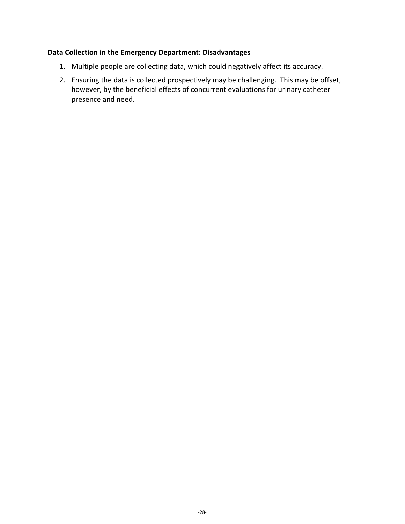#### **Data Collection in the Emergency Department: Disadvantages**

- 1. Multiple people are collecting data, which could negatively affect its accuracy.
- 2. Ensuring the data is collected prospectively may be challenging. This may be offset, however, by the beneficial effects of concurrent evaluations for urinary catheter presence and need.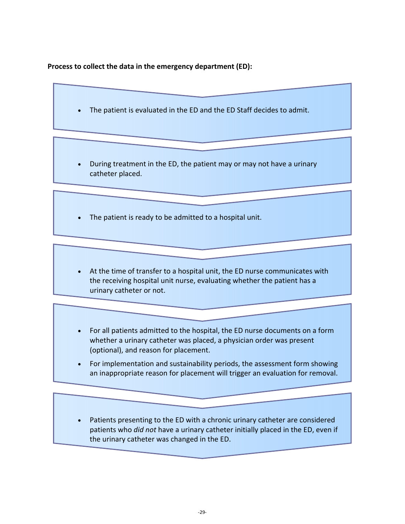#### **Process to collect the data in the emergency department (ED):**

- The patient is evaluated in the ED and the ED Staff decides to admit.
- During treatment in the ED, the patient may or may not have a urinary catheter placed.
- The patient is ready to be admitted to a hospital unit.
- At the time of transfer to a hospital unit, the ED nurse communicates with the receiving hospital unit nurse, evaluating whether the patient has a urinary catheter or not.
- For all patients admitted to the hospital, the ED nurse documents on a form whether a urinary catheter was placed, a physician order was present (optional), and reason for placement.
- For implementation and sustainability periods, the assessment form showing an inappropriate reason for placement will trigger an evaluation for removal.
- Patients presenting to the ED with a chronic urinary catheter are considered patients who *did not* have a urinary catheter initially placed in the ED, even if the urinary catheter was changed in the ED.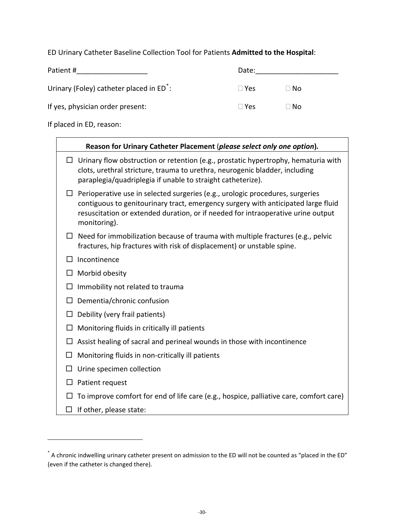ED Urinary Catheter Baseline Collection Tool for Patients **Admitted to the Hospital**:

| Patient #                                            | Date:      |      |
|------------------------------------------------------|------------|------|
| Urinary (Foley) catheter placed in ED <sup>*</sup> : | $\Box$ Yes | ∏ No |
| If yes, physician order present:                     | $\Box$ Yes | ∏ No |

If placed in ED, reason:

|                                                  | Reason for Urinary Catheter Placement (please select only one option).                                                                                                                                                                                 |
|--------------------------------------------------|--------------------------------------------------------------------------------------------------------------------------------------------------------------------------------------------------------------------------------------------------------|
|                                                  | Urinary flow obstruction or retention (e.g., prostatic hypertrophy, hematuria with<br>clots, urethral stricture, trauma to urethra, neurogenic bladder, including<br>paraplegia/quadriplegia if unable to straight catheterize).                       |
| monitoring).                                     | Perioperative use in selected surgeries (e.g., urologic procedures, surgeries<br>contiguous to genitourinary tract, emergency surgery with anticipated large fluid<br>resuscitation or extended duration, or if needed for intraoperative urine output |
| $\Box$                                           | Need for immobilization because of trauma with multiple fractures (e.g., pelvic<br>fractures, hip fractures with risk of displacement) or unstable spine.                                                                                              |
| Incontinence                                     |                                                                                                                                                                                                                                                        |
| Morbid obesity                                   |                                                                                                                                                                                                                                                        |
| Immobility not related to trauma                 |                                                                                                                                                                                                                                                        |
| Dementia/chronic confusion                       |                                                                                                                                                                                                                                                        |
| Debility (very frail patients)                   |                                                                                                                                                                                                                                                        |
| Monitoring fluids in critically ill patients     |                                                                                                                                                                                                                                                        |
|                                                  | Assist healing of sacral and perineal wounds in those with incontinence                                                                                                                                                                                |
| Monitoring fluids in non-critically ill patients |                                                                                                                                                                                                                                                        |
| Urine specimen collection                        |                                                                                                                                                                                                                                                        |
| Patient request                                  |                                                                                                                                                                                                                                                        |
|                                                  | To improve comfort for end of life care (e.g., hospice, palliative care, comfort care)                                                                                                                                                                 |
| If other, please state:<br>□                     |                                                                                                                                                                                                                                                        |

<span id="page-33-0"></span><sup>\*</sup> A chronic indwelling urinary catheter present on admission to the ED will not be counted as "placed in the ED" (even if the catheter is changed there).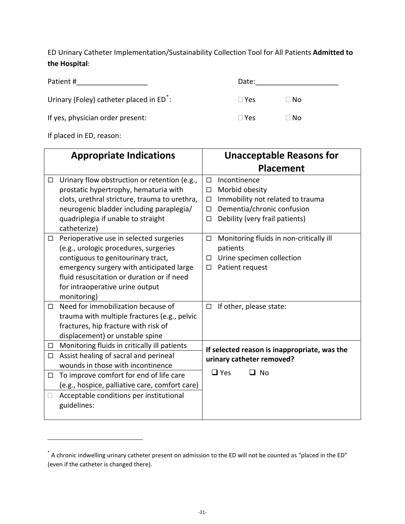ED Urinary Catheter Implementation/Sustainability Collection Tool for All Patients **Admitted to the Hospital**:

Patient #\_\_\_\_\_\_\_\_\_\_\_\_\_\_\_\_\_\_ Date:\_\_\_\_\_\_\_\_\_\_\_\_\_\_\_\_\_\_\_\_\_

Urinary (Foley) catheter placed in ED<sup>[\\*](#page-34-0)</sup>:

If yes, physician order present:  $\Box$  Yes  $\Box$  No

|        | Date:      |           |
|--------|------------|-----------|
| ٠<br>٠ | $\Box$ Yes | $\Box$ No |

If placed in ED, reason:

|                  | <b>Appropriate Indications</b>                                                                                                                                                                                                                                                                           | <b>Unacceptable Reasons for</b>                                                                                                                                                      |
|------------------|----------------------------------------------------------------------------------------------------------------------------------------------------------------------------------------------------------------------------------------------------------------------------------------------------------|--------------------------------------------------------------------------------------------------------------------------------------------------------------------------------------|
|                  |                                                                                                                                                                                                                                                                                                          | <b>Placement</b>                                                                                                                                                                     |
| $\Box$           | Urinary flow obstruction or retention (e.g.,<br>prostatic hypertrophy, hematuria with<br>clots, urethral stricture, trauma to urethra,<br>neurogenic bladder including paraplegia/<br>quadriplegia if unable to straight<br>catheterize)                                                                 | Incontinence<br>$\Box$<br>Morbid obesity<br>$\Box$<br>Immobility not related to trauma<br>$\Box$<br>Dementia/chronic confusion<br>$\Box$<br>Debility (very frail patients)<br>$\Box$ |
| □<br>П.          | Perioperative use in selected surgeries<br>(e.g., urologic procedures, surgeries<br>contiguous to genitourinary tract,<br>emergency surgery with anticipated large<br>fluid resuscitation or duration or if need<br>for intraoperative urine output<br>monitoring)<br>Need for immobilization because of | Monitoring fluids in non-critically ill<br>$\Box$<br>patients<br>Urine specimen collection<br>□<br>Patient request<br>□                                                              |
|                  | trauma with multiple fractures (e.g., pelvic<br>fractures, hip fracture with risk of<br>displacement) or unstable spine                                                                                                                                                                                  | If other, please state:<br>$\Box$                                                                                                                                                    |
| $\Box$<br>$\Box$ | Monitoring fluids in critically ill patients<br>Assist healing of sacral and perineal<br>wounds in those with incontinence                                                                                                                                                                               | If selected reason is inappropriate, was the<br>urinary catheter removed?                                                                                                            |
| $\Box$<br>$\Box$ | To improve comfort for end of life care<br>(e.g., hospice, palliative care, comfort care)<br>Acceptable conditions per institutional                                                                                                                                                                     | $\Box$ Yes<br>□ No                                                                                                                                                                   |
|                  | guidelines:                                                                                                                                                                                                                                                                                              |                                                                                                                                                                                      |

<span id="page-34-0"></span><sup>\*</sup> A chronic indwelling urinary catheter present on admission to the ED will not be counted as "placed in the ED" (even if the catheter is changed there).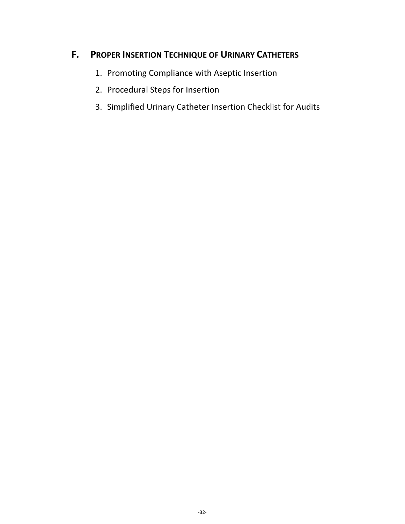# **F. PROPER INSERTION TECHNIQUE OF URINARY CATHETERS**

- 1. Promoting Compliance with Aseptic Insertion
- 2. Procedural Steps for Insertion
- 3. Simplified Urinary Catheter Insertion Checklist for Audits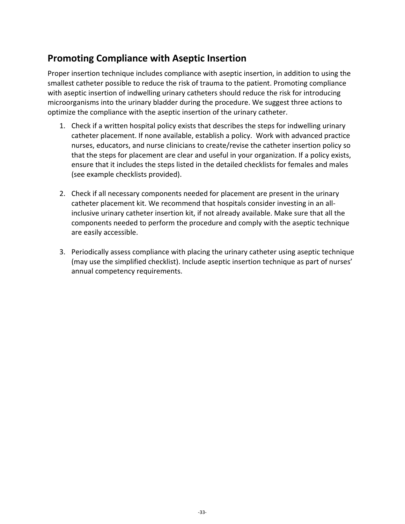### **Promoting Compliance with Aseptic Insertion**

Proper insertion technique includes compliance with aseptic insertion, in addition to using the smallest catheter possible to reduce the risk of trauma to the patient. Promoting compliance with aseptic insertion of indwelling urinary catheters should reduce the risk for introducing microorganisms into the urinary bladder during the procedure. We suggest three actions to optimize the compliance with the aseptic insertion of the urinary catheter.

- 1. Check if a written hospital policy exists that describes the steps for indwelling urinary catheter placement. If none available, establish a policy. Work with advanced practice nurses, educators, and nurse clinicians to create/revise the catheter insertion policy so that the steps for placement are clear and useful in your organization. If a policy exists, ensure that it includes the steps listed in the detailed checklists for females and males (see example checklists provided).
- 2. Check if all necessary components needed for placement are present in the urinary catheter placement kit. We recommend that hospitals consider investing in an all‐ inclusive urinary catheter insertion kit, if not already available. Make sure that all the components needed to perform the procedure and comply with the aseptic technique are easily accessible.
- 3. Periodically assess compliance with placing the urinary catheter using aseptic technique (may use the simplified checklist). Include aseptic insertion technique as part of nurses' annual competency requirements.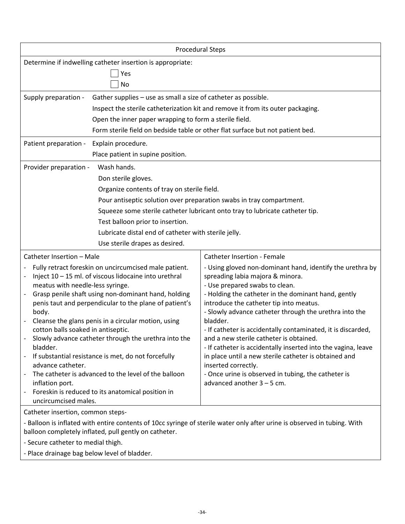|                                                                                                                          | <b>Procedural Steps</b>                                                         |
|--------------------------------------------------------------------------------------------------------------------------|---------------------------------------------------------------------------------|
| Determine if indwelling catheter insertion is appropriate:                                                               |                                                                                 |
| Yes                                                                                                                      |                                                                                 |
| No                                                                                                                       |                                                                                 |
| Gather supplies – use as small a size of catheter as possible.<br>Supply preparation -                                   |                                                                                 |
|                                                                                                                          | Inspect the sterile catheterization kit and remove it from its outer packaging. |
| Open the inner paper wrapping to form a sterile field.                                                                   |                                                                                 |
|                                                                                                                          | Form sterile field on bedside table or other flat surface but not patient bed.  |
| Patient preparation -<br>Explain procedure.                                                                              |                                                                                 |
| Place patient in supine position.                                                                                        |                                                                                 |
| Wash hands.<br>Provider preparation -                                                                                    |                                                                                 |
| Don sterile gloves.                                                                                                      |                                                                                 |
| Organize contents of tray on sterile field.                                                                              |                                                                                 |
|                                                                                                                          | Pour antiseptic solution over preparation swabs in tray compartment.            |
|                                                                                                                          | Squeeze some sterile catheter lubricant onto tray to lubricate catheter tip.    |
| Test balloon prior to insertion.                                                                                         |                                                                                 |
| Lubricate distal end of catheter with sterile jelly.                                                                     |                                                                                 |
| Use sterile drapes as desired.                                                                                           |                                                                                 |
| Catheter Insertion - Male                                                                                                | <b>Catheter Insertion - Female</b>                                              |
| Fully retract foreskin on uncircumcised male patient.                                                                    | - Using gloved non-dominant hand, identify the urethra by                       |
| Inject 10 - 15 ml. of viscous lidocaine into urethral<br>meatus with needle-less syringe.                                | spreading labia majora & minora.<br>- Use prepared swabs to clean.              |
| Grasp penile shaft using non-dominant hand, holding                                                                      | - Holding the catheter in the dominant hand, gently                             |
| penis taut and perpendicular to the plane of patient's                                                                   | introduce the catheter tip into meatus.                                         |
| body.                                                                                                                    | - Slowly advance catheter through the urethra into the                          |
| Cleanse the glans penis in a circular motion, using<br>cotton balls soaked in antiseptic.                                | bladder.<br>- If catheter is accidentally contaminated, it is discarded,        |
| Slowly advance catheter through the urethra into the                                                                     | and a new sterile catheter is obtained.                                         |
| bladder.                                                                                                                 | - If catheter is accidentally inserted into the vagina, leave                   |
| If substantial resistance is met, do not forcefully<br>advance catheter.                                                 | in place until a new sterile catheter is obtained and                           |
| The catheter is advanced to the level of the balloon                                                                     | inserted correctly.<br>- Once urine is observed in tubing, the catheter is      |
| inflation port.                                                                                                          | advanced another $3 - 5$ cm.                                                    |
| Foreskin is reduced to its anatomical position in<br>$\overline{\phantom{0}}$<br>uncircumcised males.                    |                                                                                 |
| Catheter insertion, common steps-                                                                                        |                                                                                 |
| - Balloon is inflated with entire contents of 10cc syringe of sterile water only after urine is observed in tubing. With |                                                                                 |
| balloon completely inflated, pull gently on catheter.                                                                    |                                                                                 |

- Secure catheter to medial thigh.
- Place drainage bag below level of bladder.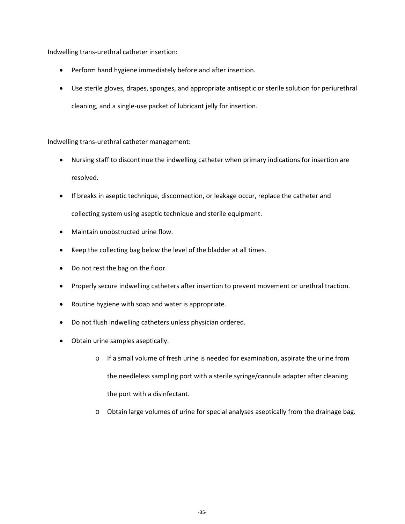Indwelling trans-urethral catheter insertion:

- Perform hand hygiene immediately before and after insertion.
- Use sterile gloves, drapes, sponges, and appropriate antiseptic or sterile solution for periurethral cleaning, and a single-use packet of lubricant jelly for insertion.

Indwelling trans-urethral catheter management:

- Nursing staff to discontinue the indwelling catheter when primary indications for insertion are resolved.
- If breaks in aseptic technique, disconnection, or leakage occur, replace the catheter and collecting system using aseptic technique and sterile equipment.
- Maintain unobstructed urine flow.
- Keep the collecting bag below the level of the bladder at all times.
- Do not rest the bag on the floor.
- Properly secure indwelling catheters after insertion to prevent movement or urethral traction.
- Routine hygiene with soap and water is appropriate.
- Do not flush indwelling catheters unless physician ordered.
- Obtain urine samples aseptically.
	- o If a small volume of fresh urine is needed for examination, aspirate the urine from the needleless sampling port with a sterile syringe/cannula adapter after cleaning the port with a disinfectant.
	- o Obtain large volumes of urine for special analyses aseptically from the drainage bag.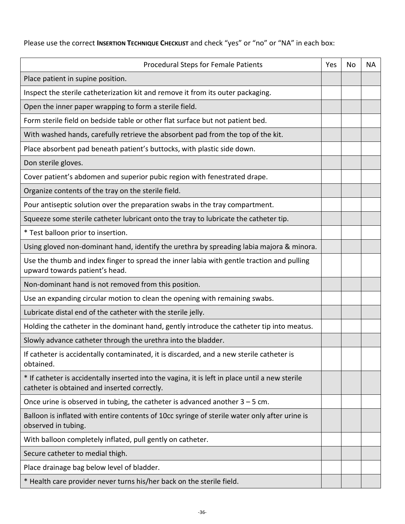Please use the correct **INSERTION TECHNIQUE CHECKLIST** and check "yes" or "no" or "NA" in each box:

| Procedural Steps for Female Patients                                                                                                            | Yes | No | NА |
|-------------------------------------------------------------------------------------------------------------------------------------------------|-----|----|----|
| Place patient in supine position.                                                                                                               |     |    |    |
| Inspect the sterile catheterization kit and remove it from its outer packaging.                                                                 |     |    |    |
| Open the inner paper wrapping to form a sterile field.                                                                                          |     |    |    |
| Form sterile field on bedside table or other flat surface but not patient bed.                                                                  |     |    |    |
| With washed hands, carefully retrieve the absorbent pad from the top of the kit.                                                                |     |    |    |
| Place absorbent pad beneath patient's buttocks, with plastic side down.                                                                         |     |    |    |
| Don sterile gloves.                                                                                                                             |     |    |    |
| Cover patient's abdomen and superior pubic region with fenestrated drape.                                                                       |     |    |    |
| Organize contents of the tray on the sterile field.                                                                                             |     |    |    |
| Pour antiseptic solution over the preparation swabs in the tray compartment.                                                                    |     |    |    |
| Squeeze some sterile catheter lubricant onto the tray to lubricate the catheter tip.                                                            |     |    |    |
| * Test balloon prior to insertion.                                                                                                              |     |    |    |
| Using gloved non-dominant hand, identify the urethra by spreading labia majora & minora.                                                        |     |    |    |
| Use the thumb and index finger to spread the inner labia with gentle traction and pulling<br>upward towards patient's head.                     |     |    |    |
| Non-dominant hand is not removed from this position.                                                                                            |     |    |    |
| Use an expanding circular motion to clean the opening with remaining swabs.                                                                     |     |    |    |
| Lubricate distal end of the catheter with the sterile jelly.                                                                                    |     |    |    |
| Holding the catheter in the dominant hand, gently introduce the catheter tip into meatus.                                                       |     |    |    |
| Slowly advance catheter through the urethra into the bladder.                                                                                   |     |    |    |
| If catheter is accidentally contaminated, it is discarded, and a new sterile catheter is<br>obtained.                                           |     |    |    |
| * If catheter is accidentally inserted into the vagina, it is left in place until a new sterile<br>catheter is obtained and inserted correctly. |     |    |    |
| Once urine is observed in tubing, the catheter is advanced another $3 - 5$ cm.                                                                  |     |    |    |
| Balloon is inflated with entire contents of 10cc syringe of sterile water only after urine is<br>observed in tubing.                            |     |    |    |
| With balloon completely inflated, pull gently on catheter.                                                                                      |     |    |    |
| Secure catheter to medial thigh.                                                                                                                |     |    |    |
| Place drainage bag below level of bladder.                                                                                                      |     |    |    |
| * Health care provider never turns his/her back on the sterile field.                                                                           |     |    |    |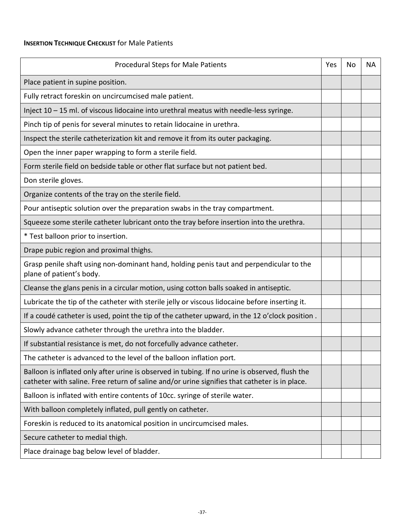#### **INSERTION TECHNIQUE CHECKLIST** for Male Patients

| <b>Procedural Steps for Male Patients</b>                                                                                                                                                       | Yes | No | NА |
|-------------------------------------------------------------------------------------------------------------------------------------------------------------------------------------------------|-----|----|----|
| Place patient in supine position.                                                                                                                                                               |     |    |    |
| Fully retract foreskin on uncircumcised male patient.                                                                                                                                           |     |    |    |
| Inject $10 - 15$ ml. of viscous lidocaine into urethral meatus with needle-less syringe.                                                                                                        |     |    |    |
| Pinch tip of penis for several minutes to retain lidocaine in urethra.                                                                                                                          |     |    |    |
| Inspect the sterile catheterization kit and remove it from its outer packaging.                                                                                                                 |     |    |    |
| Open the inner paper wrapping to form a sterile field.                                                                                                                                          |     |    |    |
| Form sterile field on bedside table or other flat surface but not patient bed.                                                                                                                  |     |    |    |
| Don sterile gloves.                                                                                                                                                                             |     |    |    |
| Organize contents of the tray on the sterile field.                                                                                                                                             |     |    |    |
| Pour antiseptic solution over the preparation swabs in the tray compartment.                                                                                                                    |     |    |    |
| Squeeze some sterile catheter lubricant onto the tray before insertion into the urethra.                                                                                                        |     |    |    |
| * Test balloon prior to insertion.                                                                                                                                                              |     |    |    |
| Drape pubic region and proximal thighs.                                                                                                                                                         |     |    |    |
| Grasp penile shaft using non-dominant hand, holding penis taut and perpendicular to the<br>plane of patient's body.                                                                             |     |    |    |
| Cleanse the glans penis in a circular motion, using cotton balls soaked in antiseptic.                                                                                                          |     |    |    |
| Lubricate the tip of the catheter with sterile jelly or viscous lidocaine before inserting it.                                                                                                  |     |    |    |
| If a coudé catheter is used, point the tip of the catheter upward, in the 12 o'clock position.                                                                                                  |     |    |    |
| Slowly advance catheter through the urethra into the bladder.                                                                                                                                   |     |    |    |
| If substantial resistance is met, do not forcefully advance catheter.                                                                                                                           |     |    |    |
| The catheter is advanced to the level of the balloon inflation port.                                                                                                                            |     |    |    |
| Balloon is inflated only after urine is observed in tubing. If no urine is observed, flush the<br>catheter with saline. Free return of saline and/or urine signifies that catheter is in place. |     |    |    |
| Balloon is inflated with entire contents of 10cc. syringe of sterile water.                                                                                                                     |     |    |    |
| With balloon completely inflated, pull gently on catheter.                                                                                                                                      |     |    |    |
| Foreskin is reduced to its anatomical position in uncircumcised males.                                                                                                                          |     |    |    |
| Secure catheter to medial thigh.                                                                                                                                                                |     |    |    |
| Place drainage bag below level of bladder.                                                                                                                                                      |     |    |    |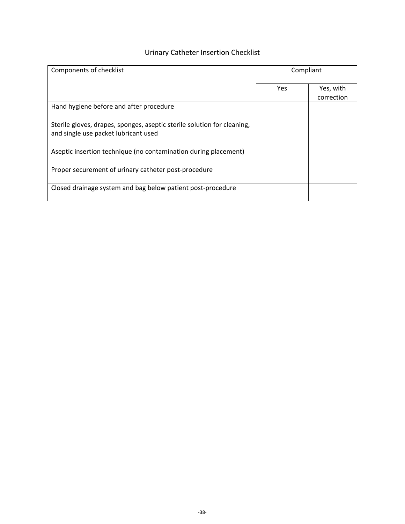### Urinary Catheter Insertion Checklist

| Components of checklist                                                                                         | Compliant |                         |
|-----------------------------------------------------------------------------------------------------------------|-----------|-------------------------|
|                                                                                                                 | Yes       | Yes, with<br>correction |
| Hand hygiene before and after procedure                                                                         |           |                         |
| Sterile gloves, drapes, sponges, aseptic sterile solution for cleaning,<br>and single use packet lubricant used |           |                         |
| Aseptic insertion technique (no contamination during placement)                                                 |           |                         |
| Proper securement of urinary catheter post-procedure                                                            |           |                         |
| Closed drainage system and bag below patient post-procedure                                                     |           |                         |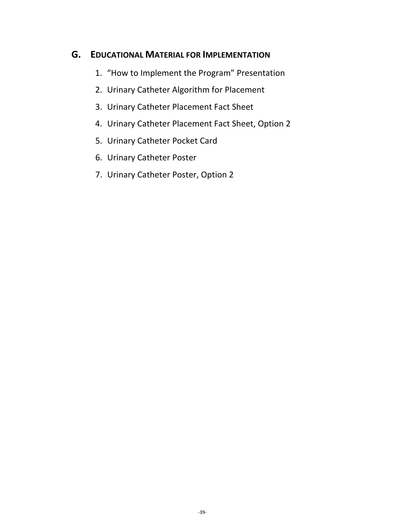### **G. EDUCATIONAL MATERIAL FOR IMPLEMENTATION**

- 1. "How to Implement the Program" Presentation
- 2. Urinary Catheter Algorithm for Placement
- 3. Urinary Catheter Placement Fact Sheet
- 4. Urinary Catheter Placement Fact Sheet, Option 2
- 5. Urinary Catheter Pocket Card
- 6. Urinary Catheter Poster
- 7. Urinary Catheter Poster, Option 2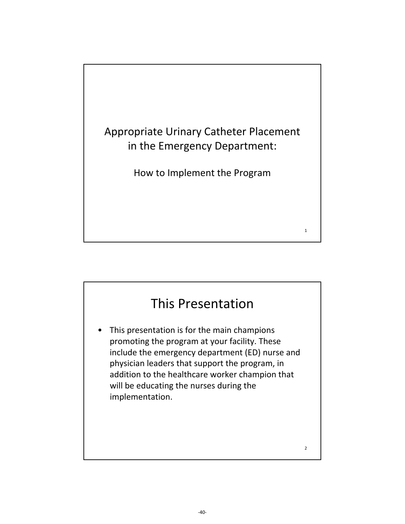

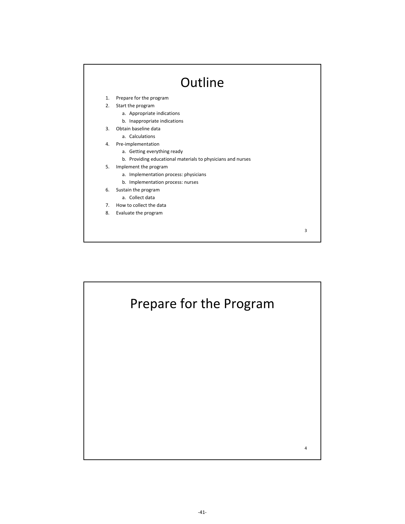

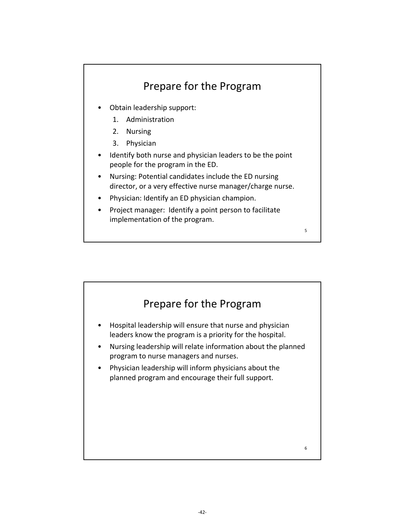

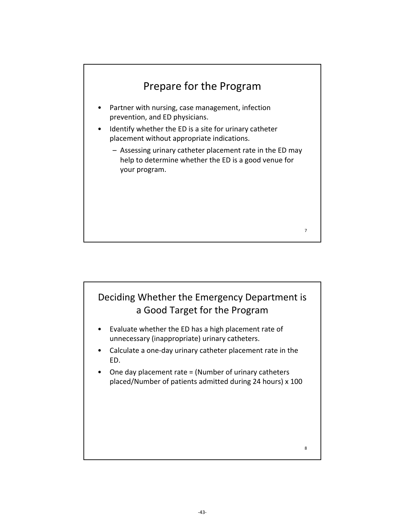



- Evaluate whether the ED has a high placement rate of unnecessary (inappropriate) urinary catheters.
- Calculate a one‐day urinary catheter placement rate in the ED.
- One day placement rate = (Number of urinary catheters placed/Number of patients admitted during 24 hours) x 100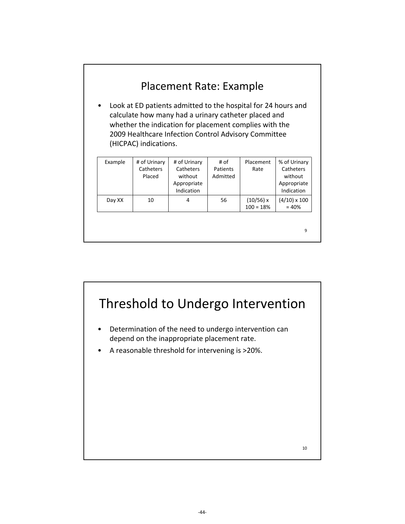|         | (HICPAC) indications.               | Placement Rate: Example<br>Look at ED patients admitted to the hospital for 24 hours and<br>calculate how many had a urinary catheter placed and<br>whether the indication for placement complies with the<br>2009 Healthcare Infection Control Advisory Committee |                              |                          |                                                                   |
|---------|-------------------------------------|--------------------------------------------------------------------------------------------------------------------------------------------------------------------------------------------------------------------------------------------------------------------|------------------------------|--------------------------|-------------------------------------------------------------------|
| Example | # of Urinary<br>Catheters<br>Placed | # of Urinary<br>Catheters<br>without<br>Appropriate<br>Indication                                                                                                                                                                                                  | # of<br>Patients<br>Admitted | Placement<br>Rate        | % of Urinary<br>Catheters<br>without<br>Appropriate<br>Indication |
| Day XX  | 10                                  | 4                                                                                                                                                                                                                                                                  | 56                           | (10/56) x<br>$100 = 18%$ | $(4/10) \times 100$<br>$= 40%$                                    |
|         |                                     |                                                                                                                                                                                                                                                                    |                              |                          | 9                                                                 |

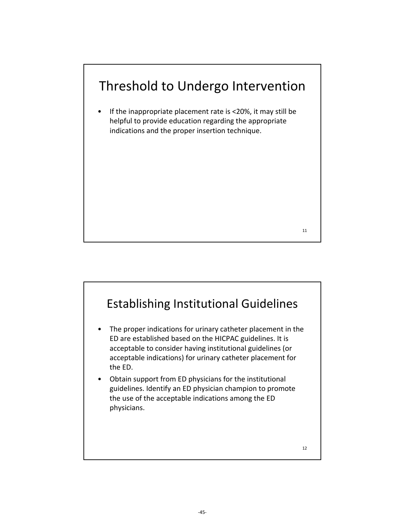

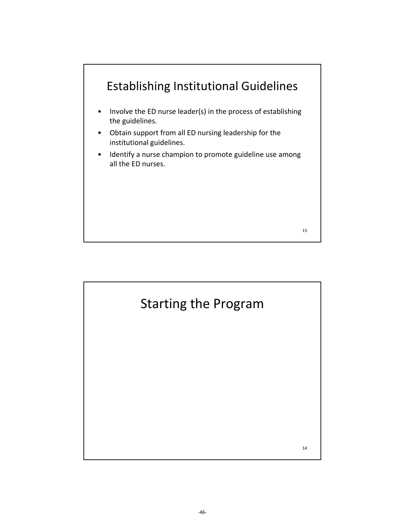

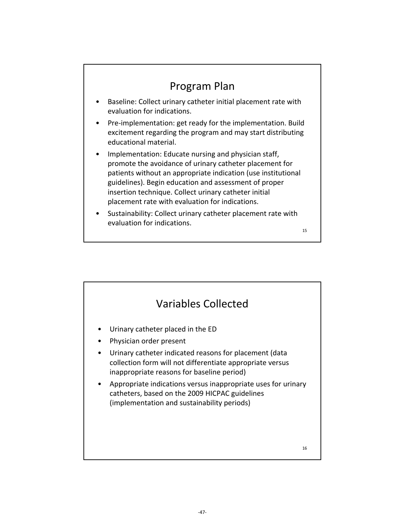

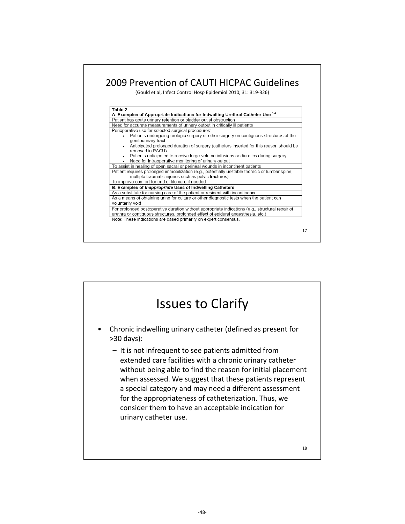

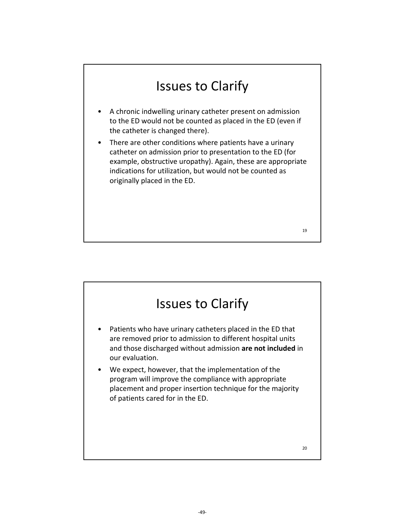# Issues to Clarify

- A chronic indwelling urinary catheter present on admission to the ED would not be counted as placed in the ED (even if the catheter is changed there).
- There are other conditions where patients have a urinary catheter on admission prior to presentation to the ED (for example, obstructive uropathy). Again, these are appropriate indications for utilization, but would not be counted as originally placed in the ED.

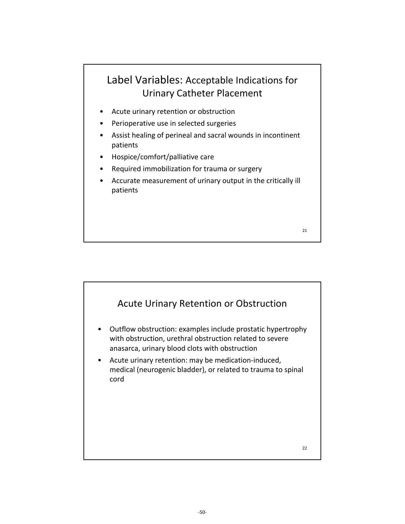### Label Variables: Acceptable Indications for Urinary Catheter Placement

- Acute urinary retention or obstruction
- Perioperative use in selected surgeries
- Assist healing of perineal and sacral wounds in incontinent patients
- Hospice/comfort/palliative care
- Required immobilization for trauma or surgery
- Accurate measurement of urinary output in the critically ill patients



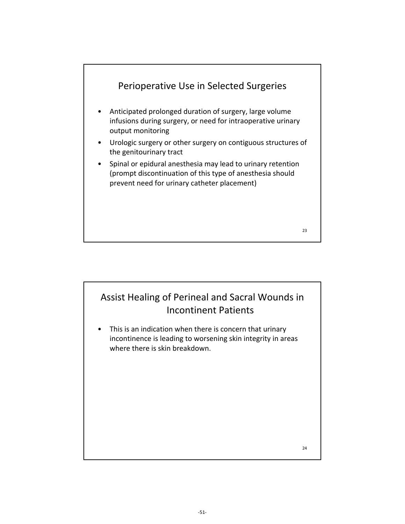

### Assist Healing of Perineal and Sacral Wounds in Incontinent Patients

This is an indication when there is concern that urinary incontinence is leading to worsening skin integrity in areas where there is skin breakdown.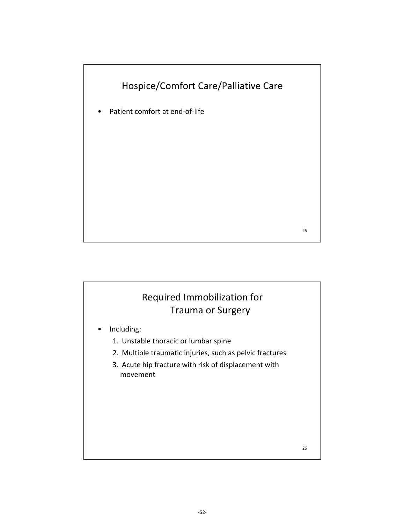



- Including:
	- 1. Unstable thoracic or lumbar spine
	- 2. Multiple traumatic injuries, such as pelvic fractures
	- 3. Acute hip fracture with risk of displacement with movement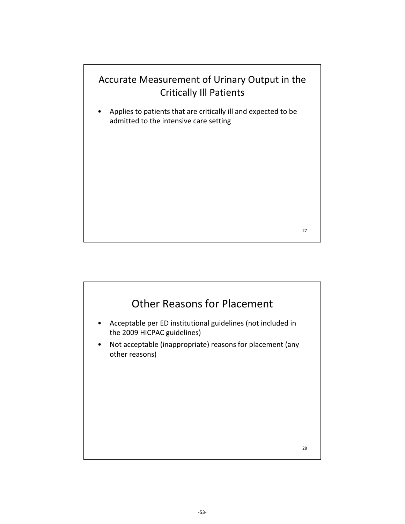

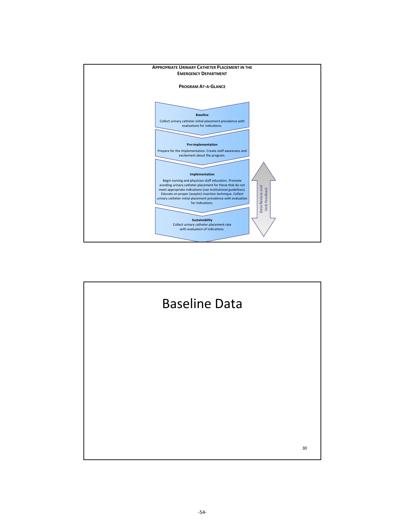

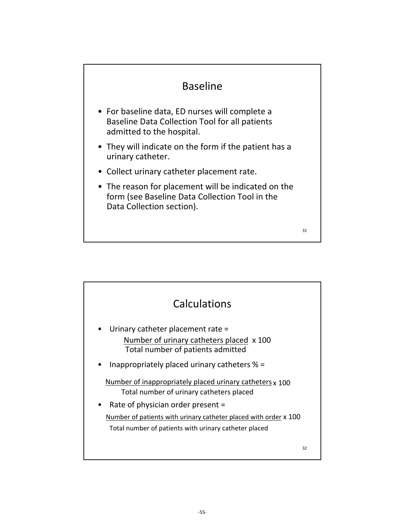### Baseline

- For baseline data, ED nurses will complete a Baseline Data Collection Tool for all patients admitted to the hospital.
- They will indicate on the form if the patient has a urinary catheter.
- Collect urinary catheter placement rate.
- The reason for placement will be indicated on the form (see Baseline Data Collection Tool in the Data Collection section).

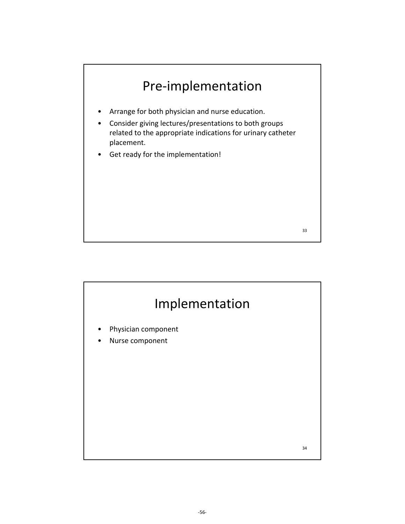

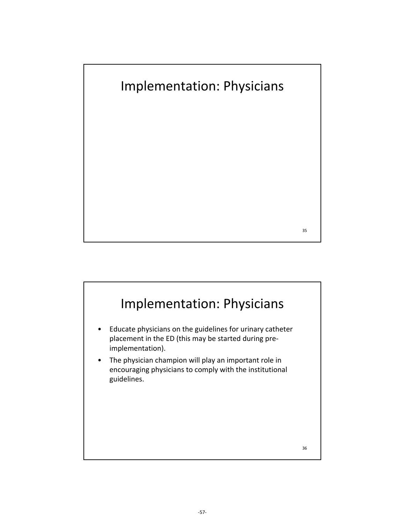

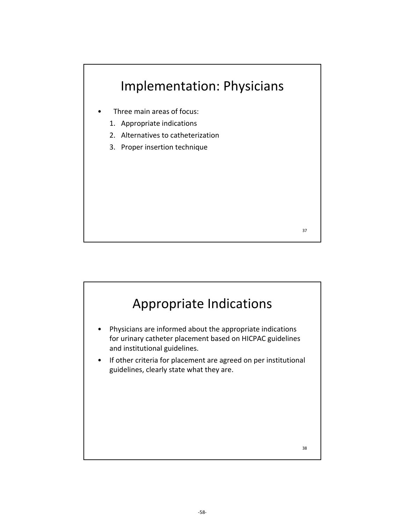

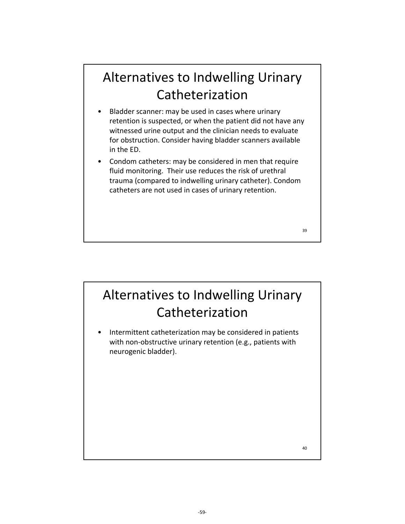# Alternatives to Indwelling Urinary Catheterization

- Bladder scanner: may be used in cases where urinary retention is suspected, or when the patient did not have any witnessed urine output and the clinician needs to evaluate for obstruction. Consider having bladder scanners available in the ED.
- Condom catheters: may be considered in men that require fluid monitoring. Their use reduces the risk of urethral trauma (compared to indwelling urinary catheter). Condom catheters are not used in cases of urinary retention.

Alternatives to Indwelling Urinary Catheterization

Intermittent catheterization may be considered in patients with non-obstructive urinary retention (e.g., patients with neurogenic bladder).

40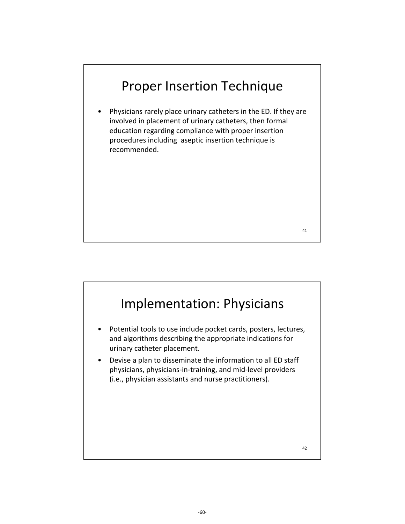## Proper Insertion Technique

• Physicians rarely place urinary catheters in the ED. If they are involved in placement of urinary catheters, then formal education regarding compliance with proper insertion procedures including aseptic insertion technique is recommended.

41

# Implementation: Physicians Potential tools to use include pocket cards, posters, lectures, and algorithms describing the appropriate indications for urinary catheter placement. • Devise a plan to disseminate the information to all ED staff physicians, physicians‐in‐training, and mid‐level providers (i.e., physician assistants and nurse practitioners). 42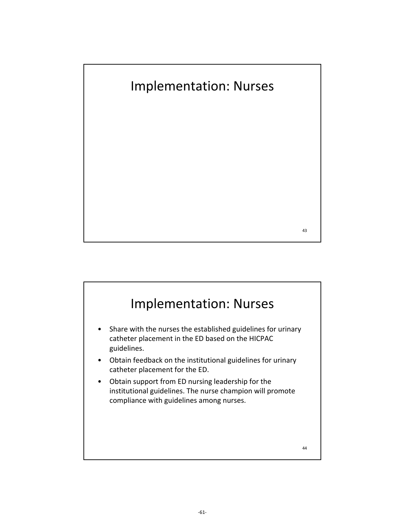

## Implementation: Nurses Share with the nurses the established guidelines for urinary catheter placement in the ED based on the HICPAC guidelines. • Obtain feedback on the institutional guidelines for urinary catheter placement for the ED.

• Obtain support from ED nursing leadership for the institutional guidelines. The nurse champion will promote compliance with guidelines among nurses.

44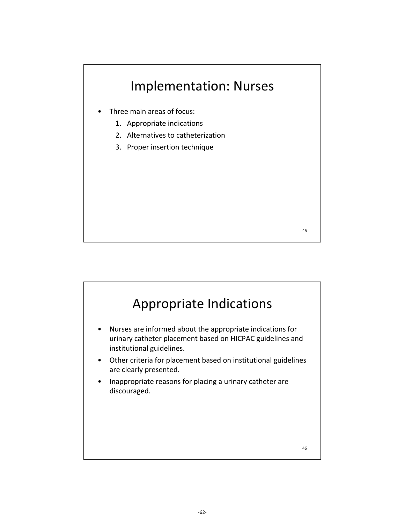

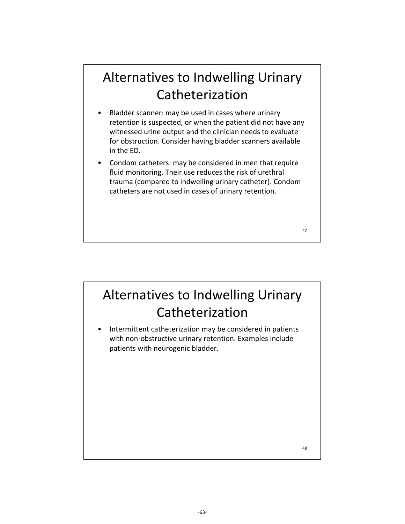# Alternatives to Indwelling Urinary Catheterization

- Bladder scanner: may be used in cases where urinary retention is suspected, or when the patient did not have any witnessed urine output and the clinician needs to evaluate for obstruction. Consider having bladder scanners available in the ED.
- Condom catheters: may be considered in men that require fluid monitoring. Their use reduces the risk of urethral trauma (compared to indwelling urinary catheter). Condom catheters are not used in cases of urinary retention.

# Alternatives to Indwelling Urinary Catheterization

Intermittent catheterization may be considered in patients with non-obstructive urinary retention. Examples include patients with neurogenic bladder.

48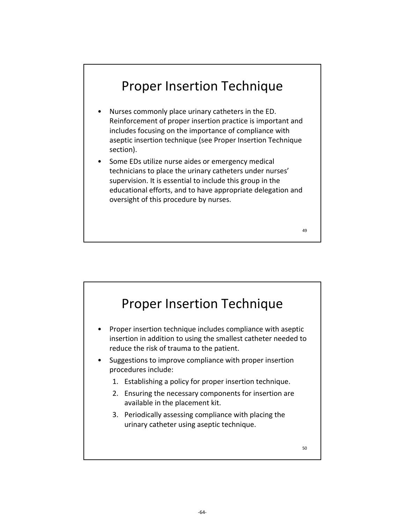## Proper Insertion Technique

- Nurses commonly place urinary catheters in the ED. Reinforcement of proper insertion practice is important and includes focusing on the importance of compliance with aseptic insertion technique (see Proper Insertion Technique section).
- Some EDs utilize nurse aides or emergency medical technicians to place the urinary catheters under nurses' supervision. It is essential to include this group in the educational efforts, and to have appropriate delegation and oversight of this procedure by nurses.

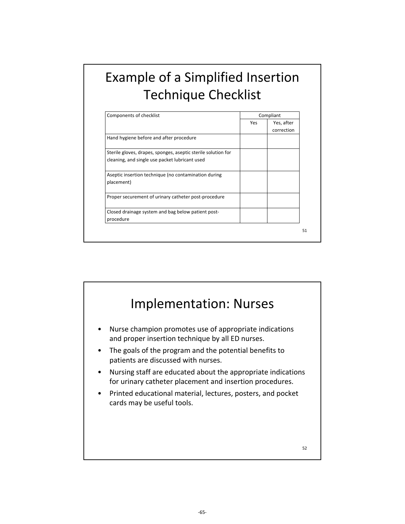# Example of a Simplified Insertion Technique Checklist

| Components of checklist                                                                                         | Compliant |                          |
|-----------------------------------------------------------------------------------------------------------------|-----------|--------------------------|
|                                                                                                                 | Yes       | Yes, after<br>correction |
| Hand hygiene before and after procedure                                                                         |           |                          |
| Sterile gloves, drapes, sponges, aseptic sterile solution for<br>cleaning, and single use packet lubricant used |           |                          |
| Aseptic insertion technique (no contamination during<br>placement)                                              |           |                          |
| Proper securement of urinary catheter post-procedure                                                            |           |                          |
| Closed drainage system and bag below patient post-<br>procedure                                                 |           |                          |

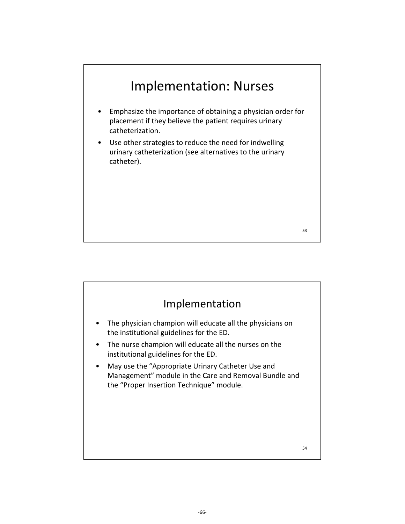# Implementation: Nurses

- Emphasize the importance of obtaining a physician order for placement if they believe the patient requires urinary catheterization.
- Use other strategies to reduce the need for indwelling urinary catheterization (see alternatives to the urinary catheter).

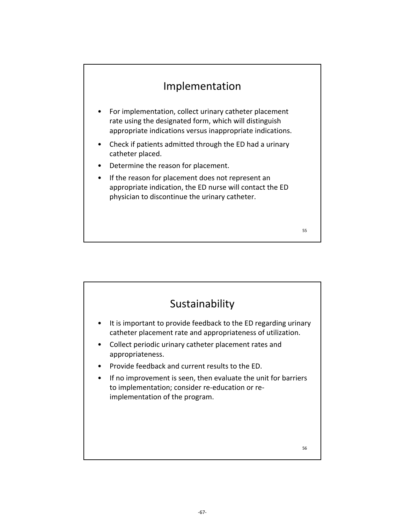### Implementation

- For implementation, collect urinary catheter placement rate using the designated form, which will distinguish appropriate indications versus inappropriate indications.
- Check if patients admitted through the ED had a urinary catheter placed.
- Determine the reason for placement.
- If the reason for placement does not represent an appropriate indication, the ED nurse will contact the ED physician to discontinue the urinary catheter.



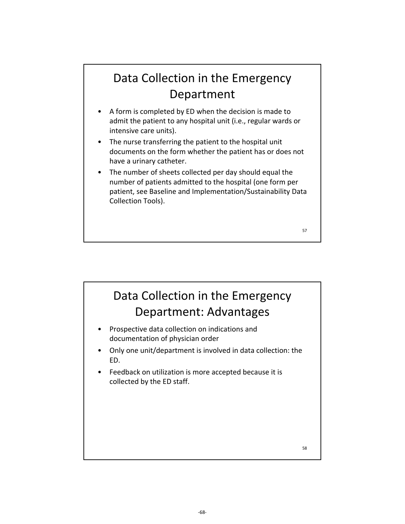## Data Collection in the Emergency Department

- A form is completed by ED when the decision is made to admit the patient to any hospital unit (i.e., regular wards or intensive care units).
- The nurse transferring the patient to the hospital unit documents on the form whether the patient has or does not have a urinary catheter.
- The number of sheets collected per day should equal the number of patients admitted to the hospital (one form per patient, see Baseline and Implementation/Sustainability Data Collection Tools).

57

## Data Collection in the Emergency Department: Advantages

- Prospective data collection on indications and documentation of physician order
- Only one unit/department is involved in data collection: the ED.
- Feedback on utilization is more accepted because it is collected by the ED staff.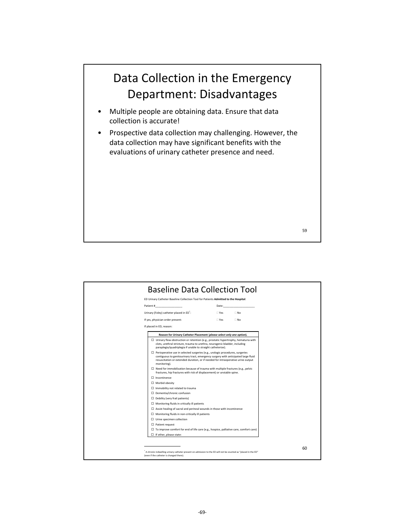## Data Collection in the Emergency Department: Disadvantages

- Multiple people are obtaining data. Ensure that data collection is accurate!
- Prospective data collection may challenging. However, the data collection may have significant benefits with the evaluations of urinary catheter presence and need.

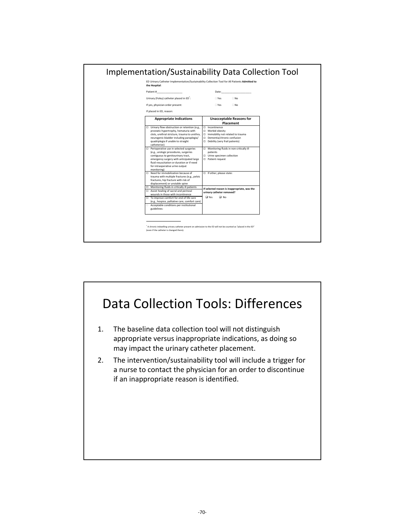

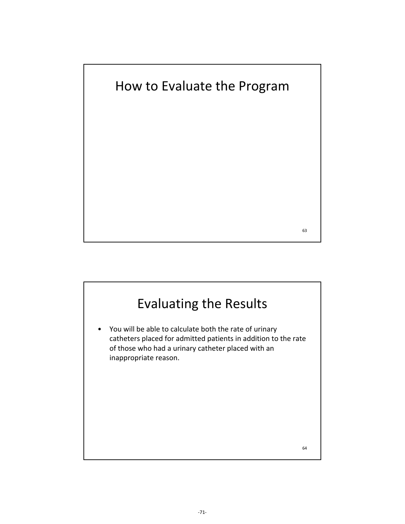How to Evaluate the Program

# Evaluating the Results

• You will be able to calculate both the rate of urinary catheters placed for admitted patients in addition to the rate of those who had a urinary catheter placed with an inappropriate reason.

64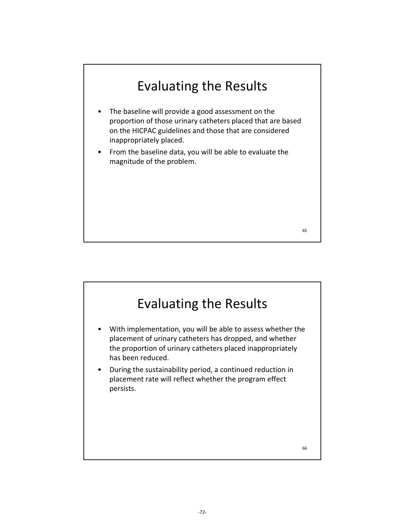# Evaluating the Results

- The baseline will provide a good assessment on the proportion of those urinary catheters placed that are based on the HICPAC guidelines and those that are considered inappropriately placed.
- From the baseline data, you will be able to evaluate the magnitude of the problem.

# Evaluating the Results

- With implementation, you will be able to assess whether the placement of urinary catheters has dropped, and whether the proportion of urinary catheters placed inappropriately has been reduced.
- During the sustainability period, a continued reduction in placement rate will reflect whether the program effect persists.

66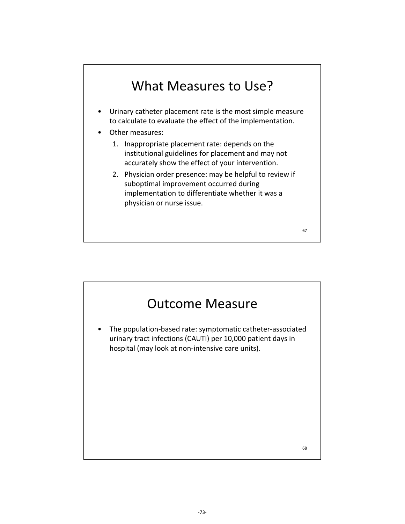## What Measures to Use?

- Urinary catheter placement rate is the most simple measure to calculate to evaluate the effect of the implementation.
- Other measures:
	- 1. Inappropriate placement rate: depends on the institutional guidelines for placement and may not accurately show the effect of your intervention.
	- 2. Physician order presence: may be helpful to review if suboptimal improvement occurred during implementation to differentiate whether it was a physician or nurse issue.



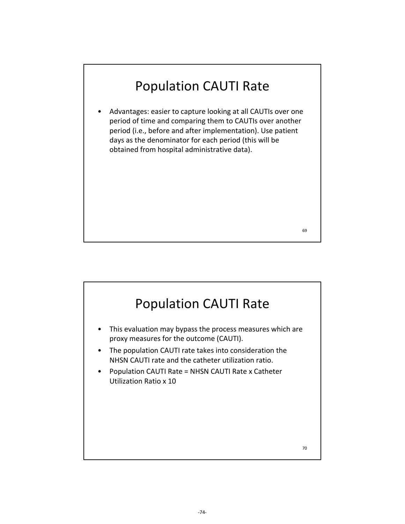# Population CAUTI Rate

• Advantages: easier to capture looking at all CAUTIs over one period of time and comparing them to CAUTIs over another period (i.e., before and after implementation). Use patient days as the denominator for each period (this will be obtained from hospital administrative data).

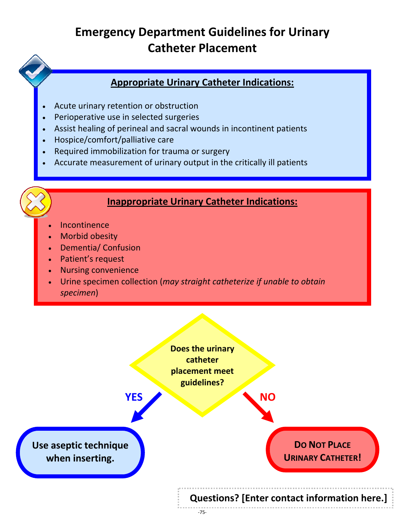## **Emergency Department Guidelines for Urinary Catheter Placement**

#### **Appropriate Urinary Catheter Indications:**

- Acute urinary retention or obstruction
- Perioperative use in selected surgeries
- Assist healing of perineal and sacral wounds in incontinent patients
- Hospice/comfort/palliative care
- Required immobilization for trauma or surgery
- Accurate measurement of urinary output in the critically ill patients

#### **Inappropriate Urinary Catheter Indications:**

- $\overline{a}$ Incontinence
- Morbid obesity
- $\overline{a}$ Dementia/ Confusion
- Patient's request
- Nursing convenience
- Urine specimen collection (*may straight catheterize if unable to obtain specimen*)

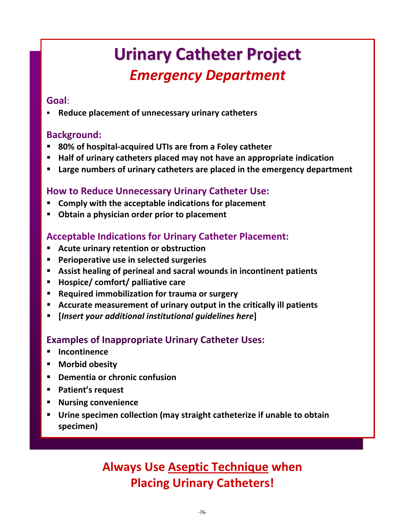# **Urinary Catheter Project** *Emergency Department*

#### **Goal**:

**Reduce placement of unnecessary urinary catheters**

#### **Background:**

- **80% of hospital‐acquired UTIs are from a Foley catheter**
- **Half of urinary catheters placed may not have an appropriate indication**
- **Large numbers of urinary catheters are placed in the emergency department**

#### **How to Reduce Unnecessary Urinary Catheter Use:**

- **Comply with the acceptable indications for placement**
- **Obtain a physician order prior to placement**

#### **Acceptable Indications for Urinary Catheter Placement:**

- **Acute urinary retention or obstruction**
- **Perioperative use in selected surgeries**
- **Assist healing of perineal and sacral wounds in incontinent patients**
- **Hospice/ comfort/ palliative care**
- **Required immobilization for trauma or surgery**
- **Accurate measurement of urinary output in the critically ill patients**
- **[***Insert your additional institutional guidelines here***]**

#### **Examples of Inappropriate Urinary Catheter Uses:**

- **Incontinence**
- **Morbid obesity**
- **Dementia or chronic confusion**
- **Patient's request**
- **Nursing convenience**
- **Urine specimen collection (may straight catheterize if unable to obtain specimen)**

## **Always Use Aseptic Technique when Placing Urinary Catheters!**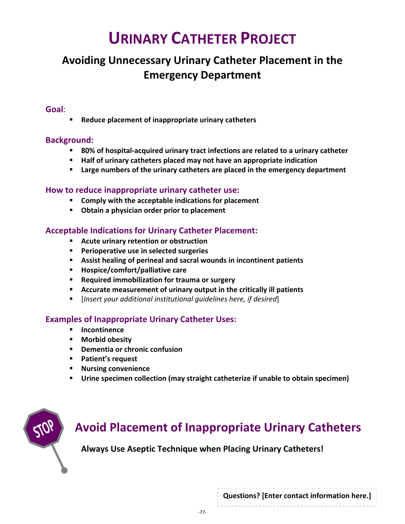# **URINARY CATHETER PROJECT**

### **Avoiding Unnecessary Urinary Catheter Placement in the Emergency Department**

#### **Goal**:

**Reduce placement of inappropriate urinary catheters**

#### **Background:**

- **80% of hospital‐acquired urinary tract infections are related to a urinary catheter**
- **Half of urinary catheters placed may not have an appropriate indication**
- **Large numbers of the urinary catheters are placed in the emergency department**

#### **How to reduce inappropriate urinary catheter use:**

- **Comply with the acceptable indications for placement**
- **Obtain a physician order prior to placement**

#### **Acceptable Indications for Urinary Catheter Placement:**

- **Acute urinary retention or obstruction**
- **Perioperative use in selected surgeries**
- **Assist healing of perineal and sacral wounds in incontinent patients**
- **Hospice/comfort/palliative care**
- **Required immobilization for trauma or surgery**
- **Accurate measurement of urinary output in the critically ill patients**
- [*Insert your additional institutional guidelines here, if desired*]

#### **Examples of Inappropriate Urinary Catheter Uses:**

- **Incontinence**
- **Morbid obesity**
- **Dementia or chronic confusion**
- **Patient's request**
- **Nursing convenience**
- **Urine specimen collection (may straight catheterize if unable to obtain specimen)**



## **Avoid Placement of Inappropriate Urinary Catheters**

**Always Use Aseptic Technique when Placing Urinary Catheters!**

**Questions? [Enter contact information here.]**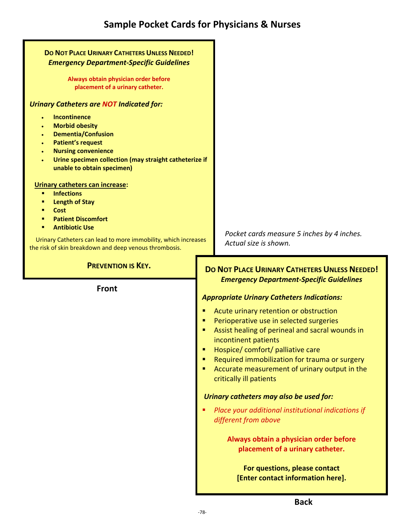| DO NOT PLACE URINARY CATHETERS UNLESS NEEDED!<br><b>Emergency Department-Specific Guidelines</b>                                                                                                                                                                                      |                                                                                                                                                                                                                                                                                                                                                                                                                                                                                                                                                                                                                          |
|---------------------------------------------------------------------------------------------------------------------------------------------------------------------------------------------------------------------------------------------------------------------------------------|--------------------------------------------------------------------------------------------------------------------------------------------------------------------------------------------------------------------------------------------------------------------------------------------------------------------------------------------------------------------------------------------------------------------------------------------------------------------------------------------------------------------------------------------------------------------------------------------------------------------------|
| Always obtain physician order before<br>placement of a urinary catheter.                                                                                                                                                                                                              |                                                                                                                                                                                                                                                                                                                                                                                                                                                                                                                                                                                                                          |
| <b>Urinary Catheters are NOT Indicated for:</b>                                                                                                                                                                                                                                       |                                                                                                                                                                                                                                                                                                                                                                                                                                                                                                                                                                                                                          |
| Incontinence<br><b>Morbid obesity</b><br>$\bullet$<br><b>Dementia/Confusion</b><br>$\bullet$<br><b>Patient's request</b><br>$\bullet$<br><b>Nursing convenience</b><br>$\bullet$<br>Urine specimen collection (may straight catheterize if<br>$\bullet$<br>unable to obtain specimen) |                                                                                                                                                                                                                                                                                                                                                                                                                                                                                                                                                                                                                          |
| Urinary catheters can increase:<br><b>Infections</b><br>٠<br><b>Length of Stay</b><br>٠<br>Cost<br><b>Patient Discomfort</b><br>٠<br><b>Antibiotic Use</b><br>٠<br>Urinary Catheters can lead to more immobility, which increases                                                     | Pocket cards measure 5 inches by 4 inches.<br>Actual size is shown.                                                                                                                                                                                                                                                                                                                                                                                                                                                                                                                                                      |
| the risk of skin breakdown and deep venous thrombosis.                                                                                                                                                                                                                                |                                                                                                                                                                                                                                                                                                                                                                                                                                                                                                                                                                                                                          |
| <b>PREVENTION IS KEY.</b><br><b>Front</b>                                                                                                                                                                                                                                             | <b>DO NOT PLACE URINARY CATHETERS UNLESS NEEDED!</b><br><b>Emergency Department-Specific Guidelines</b><br><b>Appropriate Urinary Catheters Indications:</b><br>Acute urinary retention or obstruction<br>п<br>Perioperative use in selected surgeries<br>п<br>Assist healing of perineal and sacral wounds in<br>incontinent patients<br>Hospice/ comfort/ palliative care<br>п<br>Required immobilization for trauma or surgery<br>п<br>Accurate measurement of urinary output in the<br>п<br>critically ill patients<br>Urinary catheters may also be used for:<br>Place your additional institutional indications if |
|                                                                                                                                                                                                                                                                                       | different from above<br>Always obtain a physician order before<br>placement of a urinary catheter.<br>For questions, please contact<br>[Enter contact information here].                                                                                                                                                                                                                                                                                                                                                                                                                                                 |
|                                                                                                                                                                                                                                                                                       | <b>Back</b>                                                                                                                                                                                                                                                                                                                                                                                                                                                                                                                                                                                                              |

-78-

I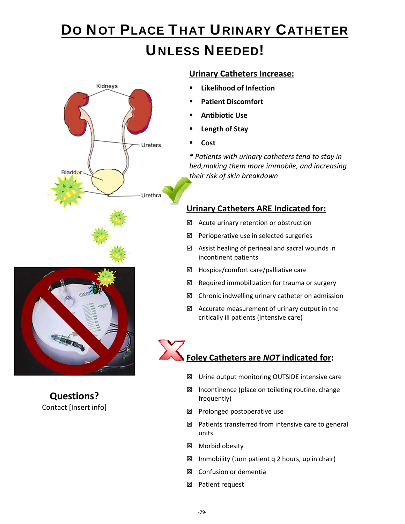# DO NOT PLACE THAT URINARY CATHETER UNLESS NEEDED!



#### **Urinary Catheters Increase:**

- **Likelihood of Infection**
- **Patient Discomfort**
- **Antibiotic Use**
- **Length of Stay**
- **Cost**

*\* Patients with urinary catheters tend to stay in bed,making them more immobile, and increasing their risk of skin breakdown*

#### **Urinary Catheters ARE Indicated for:**

- $\boxtimes$  Acute urinary retention or obstruction
- $\boxtimes$  Perioperative use in selected surgeries
- $\boxtimes$  Assist healing of perineal and sacral wounds in incontinent patients
- $\boxtimes$  Hospice/comfort care/palliative care
- $\boxtimes$  Required immobilization for trauma or surgery
- $\boxtimes$  Chronic indwelling urinary catheter on admission
- $\boxtimes$  Accurate measurement of urinary output in the critically ill patients (intensive care)

# **Foley Catheters are** *NOT* **indicated for:**

- Urine output monitoring OUTSIDE intensive care
- Incontinence (place on toileting routine, change frequently)
- **E** Prolonged postoperative use
- $\boxtimes$  Patients transferred from intensive care to general units
- **E** Morbid obesity
- Immobility (turn patient q 2 hours, up in chair)
- **E** Confusion or dementia
- Patient request



**Questions?** Contact [Insert info]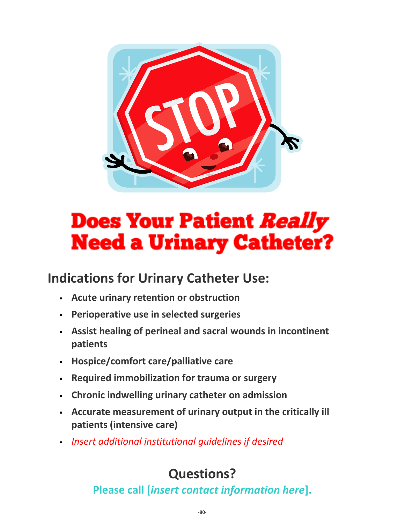

# **Does Your Patient** *Really* **Need a Urinary Catheter?**

## **Indications for Urinary Catheter Use:**

- **Acute urinary retention or obstruction**
- **Perioperative use in selected surgeries**
- **Assist healing of perineal and sacral wounds in incontinent patients**
- **Hospice/comfort care/palliative care**
- **Required immobilization for trauma or surgery**
- **Chronic indwelling urinary catheter on admission**
- **Accurate measurement of urinary output in the critically ill patients (intensive care)**
- *Insert additional institutional guidelines if desired*

# **Questions?**

**Please call [***insert contact information here***].**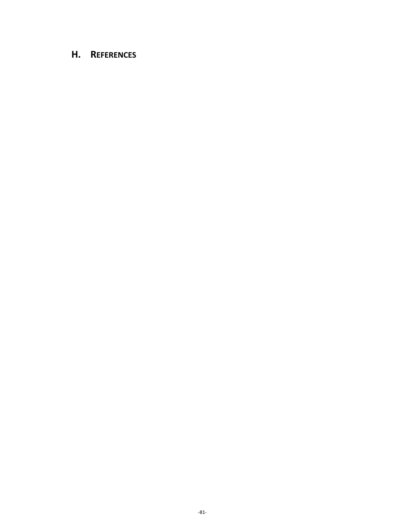#### **H. REFERENCES**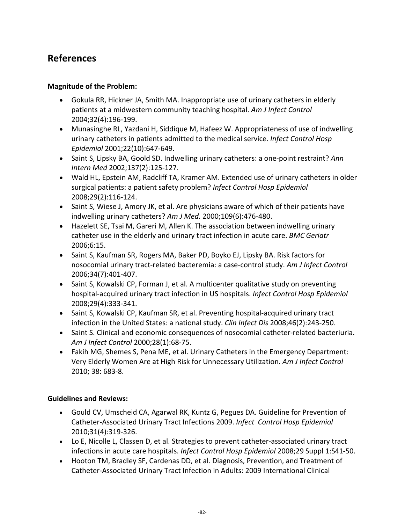#### **References**

#### **Magnitude of the Problem:**

- Gokula RR, Hickner JA, Smith MA. Inappropriate use of urinary catheters in elderly patients at a midwestern community teaching hospital. *Am J Infect Control* 2004;32(4):196‐199.
- Munasinghe RL, Yazdani H, Siddique M, Hafeez W. Appropriateness of use of indwelling urinary catheters in patients admitted to the medical service. *Infect Control Hosp Epidemiol* 2001;22(10):647‐649.
- Saint S, Lipsky BA, Goold SD. Indwelling urinary catheters: a one‐point restraint? *Ann Intern Med* 2002;137(2):125‐127.
- Wald HL, Epstein AM, Radcliff TA, Kramer AM. Extended use of urinary catheters in older surgical patients: a patient safety problem? *Infect Control Hosp Epidemiol* 2008;29(2):116‐124.
- Saint S, Wiese J, Amory JK, et al. Are physicians aware of which of their patients have indwelling urinary catheters? *Am J Med.* 2000;109(6):476‐480.
- Hazelett SE, Tsai M, Gareri M, Allen K. The association between indwelling urinary catheter use in the elderly and urinary tract infection in acute care. *BMC Geriatr* 2006;6:15.
- Saint S, Kaufman SR, Rogers MA, Baker PD, Boyko EJ, Lipsky BA. Risk factors for nosocomial urinary tract‐related bacteremia: a case‐control study. *Am J Infect Control* 2006;34(7):401‐407.
- Saint S, Kowalski CP, Forman J, et al. A multicenter qualitative study on preventing hospital‐acquired urinary tract infection in US hospitals. *Infect Control Hosp Epidemiol* 2008;29(4):333‐341.
- Saint S, Kowalski CP, Kaufman SR, et al. Preventing hospital-acquired urinary tract infection in the United States: a national study. *Clin Infect Dis* 2008;46(2):243‐250.
- Saint S. Clinical and economic consequences of nosocomial catheter-related bacteriuria. *Am J Infect Control* 2000;28(1):68‐75.
- Fakih MG, Shemes S, Pena ME, et al. Urinary Catheters in the Emergency Department: Very Elderly Women Are at High Risk for Unnecessary Utilization. *Am J Infect Control* 2010; 38: 683‐8.

#### **Guidelines and Reviews:**

- Gould CV, Umscheid CA, Agarwal RK, Kuntz G, Pegues DA. Guideline for Prevention of Catheter‐Associated Urinary Tract Infections 2009. *Infect Control Hosp Epidemiol* 2010;31(4):319‐326.
- Lo E, Nicolle L, Classen D, et al. Strategies to prevent catheter‐associated urinary tract infections in acute care hospitals. *Infect Control Hosp Epidemiol* 2008;29 Suppl 1:S41‐50.
- Hooton TM, Bradley SF, Cardenas DD, et al. Diagnosis, Prevention, and Treatment of Catheter‐Associated Urinary Tract Infection in Adults: 2009 International Clinical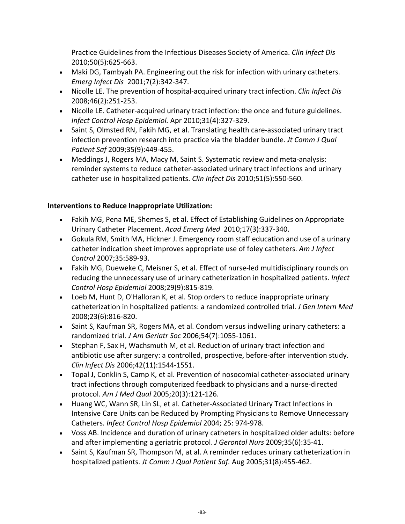Practice Guidelines from the Infectious Diseases Society of America. *Clin Infect Dis* 2010;50(5):625‐663.

- Maki DG, Tambyah PA. Engineering out the risk for infection with urinary catheters. *Emerg Infect Dis* 2001;7(2):342‐347.
- Nicolle LE. The prevention of hospital‐acquired urinary tract infection. *Clin Infect Dis* 2008;46(2):251‐253.
- Nicolle LE. Catheter-acquired urinary tract infection: the once and future guidelines. *Infect Control Hosp Epidemiol.* Apr 2010;31(4):327‐329.
- Saint S, Olmsted RN, Fakih MG, et al. Translating health care-associated urinary tract infection prevention research into practice via the bladder bundle. *Jt Comm J Qual Patient Saf* 2009;35(9):449‐455.
- Meddings J, Rogers MA, Macy M, Saint S. Systematic review and meta-analysis: reminder systems to reduce catheter‐associated urinary tract infections and urinary catheter use in hospitalized patients. *Clin Infect Dis* 2010;51(5):550‐560.

#### **Interventions to Reduce Inappropriate Utilization:**

- Fakih MG, Pena ME, Shemes S, et al. Effect of Establishing Guidelines on Appropriate Urinary Catheter Placement. *Acad Emerg Med* 2010;17(3):337‐340.
- Gokula RM, Smith MA, Hickner J. Emergency room staff education and use of a urinary catheter indication sheet improves appropriate use of foley catheters. *Am J Infect Control* 2007;35:589‐93.
- Fakih MG, Dueweke C, Meisner S, et al. Effect of nurse-led multidisciplinary rounds on reducing the unnecessary use of urinary catheterization in hospitalized patients. *Infect Control Hosp Epidemiol* 2008;29(9):815‐819.
- Loeb M, Hunt D, O'Halloran K, et al. Stop orders to reduce inappropriate urinary catheterization in hospitalized patients: a randomized controlled trial. *J Gen Intern Med* 2008;23(6):816‐820.
- Saint S, Kaufman SR, Rogers MA, et al. Condom versus indwelling urinary catheters: a randomized trial. *J Am Geriatr Soc* 2006;54(7):1055‐1061.
- Stephan F, Sax H, Wachsmuth M, et al. Reduction of urinary tract infection and antibiotic use after surgery: a controlled, prospective, before‐after intervention study. *Clin Infect Dis* 2006;42(11):1544‐1551.
- Topal J, Conklin S, Camp K, et al. Prevention of nosocomial catheter‐associated urinary tract infections through computerized feedback to physicians and a nurse‐directed protocol. *Am J Med Qual* 2005;20(3):121‐126.
- Huang WC, Wann SR, Lin SL, et al. Catheter‐Associated Urinary Tract Infections in Intensive Care Units can be Reduced by Prompting Physicians to Remove Unnecessary Catheters. *Infect Control Hosp Epidemiol* 2004; 25: 974‐978.
- Voss AB. Incidence and duration of urinary catheters in hospitalized older adults: before and after implementing a geriatric protocol. *J Gerontol Nurs* 2009;35(6):35‐41.
- Saint S, Kaufman SR, Thompson M, at al. A reminder reduces urinary catheterization in hospitalized patients. *Jt Comm J Qual Patient Saf.* Aug 2005;31(8):455‐462.